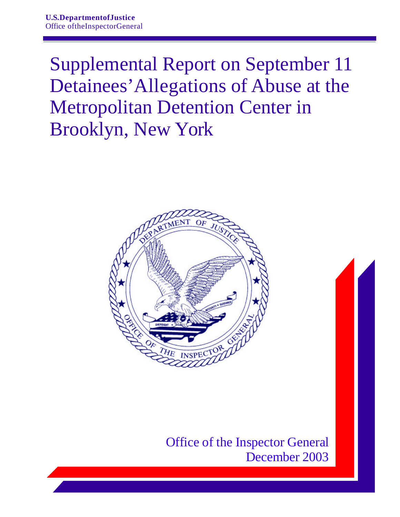Supplemental Report on September 11 Detainees'Allegations of Abuse at the Metropolitan Detention Center in Brooklyn, New York



Office of the Inspector General December 2003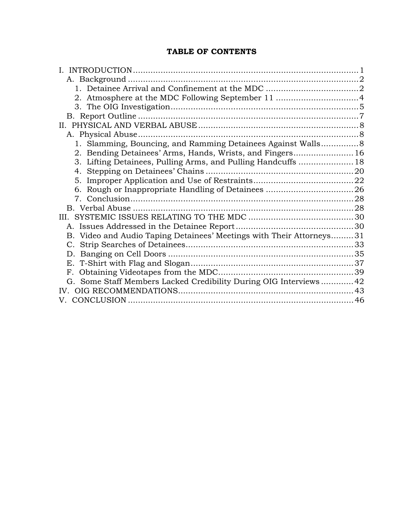# **TABLE OF CONTENTS**

| 1. Slamming, Bouncing, and Ramming Detainees Against Walls8          |  |
|----------------------------------------------------------------------|--|
| 2. Bending Detainees' Arms, Hands, Wrists, and Fingers 16            |  |
| 3. Lifting Detainees, Pulling Arms, and Pulling Handcuffs  18        |  |
|                                                                      |  |
|                                                                      |  |
|                                                                      |  |
|                                                                      |  |
|                                                                      |  |
|                                                                      |  |
|                                                                      |  |
| B. Video and Audio Taping Detainees' Meetings with Their Attorneys31 |  |
|                                                                      |  |
|                                                                      |  |
|                                                                      |  |
|                                                                      |  |
| G. Some Staff Members Lacked Credibility During OIG Interviews  42   |  |
| IV -                                                                 |  |
|                                                                      |  |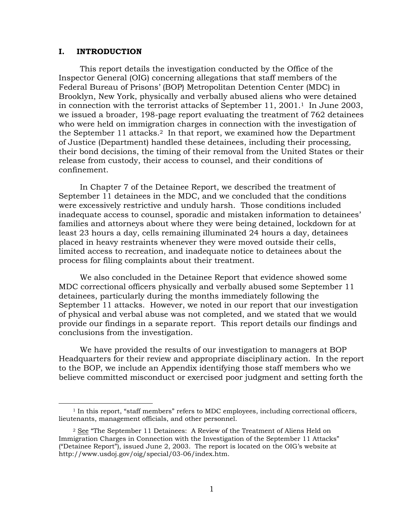## <span id="page-2-0"></span>**I. INTRODUCTION**

 $\overline{a}$ 

This report details the investigation conducted by the Office of the Inspector General (OIG) concerning allegations that staff members of the Federal Bureau of Prisons' (BOP) Metropolitan Detention Center (MDC) in Brooklyn, New York, physically and verbally abused aliens who were detained in connection with the terrorist attacks of September  $11, 2001$ .<sup>1</sup> In June 2003, we issued a broader, 198-page report evaluating the treatment of 762 detainees who were held on immigration charges in connection with the investigation of the September 11 attacks.[2](#page-2-2) In that report, we examined how the Department of Justice (Department) handled these detainees, including their processing, their bond decisions, the timing of their removal from the United States or their release from custody, their access to counsel, and their conditions of confinement.

In Chapter 7 of the Detainee Report, we described the treatment of September 11 detainees in the MDC, and we concluded that the conditions were excessively restrictive and unduly harsh. Those conditions included inadequate access to counsel, sporadic and mistaken information to detainees' families and attorneys about where they were being detained, lockdown for at least 23 hours a day, cells remaining illuminated 24 hours a day, detainees placed in heavy restraints whenever they were moved outside their cells, limited access to recreation, and inadequate notice to detainees about the process for filing complaints about their treatment.

We also concluded in the Detainee Report that evidence showed some MDC correctional officers physically and verbally abused some September 11 detainees, particularly during the months immediately following the September 11 attacks. However, we noted in our report that our investigation of physical and verbal abuse was not completed, and we stated that we would provide our findings in a separate report. This report details our findings and conclusions from the investigation.

We have provided the results of our investigation to managers at BOP Headquarters for their review and appropriate disciplinary action. In the report to the BOP, we include an Appendix identifying those staff members who we believe committed misconduct or exercised poor judgment and setting forth the

<span id="page-2-1"></span><sup>1</sup> In this report, "staff members" refers to MDC employees, including correctional officers, lieutenants, management officials, and other personnel.

<span id="page-2-2"></span><sup>&</sup>lt;sup>2</sup> See "The September 11 Detainees: A Review of the Treatment of Aliens Held on Immigration Charges in Connection with the Investigation of the September 11 Attacks" ("Detainee Report"), issued June 2, 2003. The report is located on the OIG's website at http://www.usdoj.gov/oig/special/03-06/index.htm.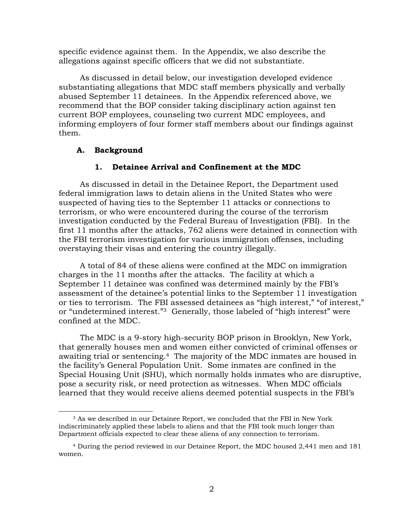<span id="page-3-0"></span>specific evidence against them. In the Appendix, we also describe the allegations against specific officers that we did not substantiate.

As discussed in detail below, our investigation developed evidence substantiating allegations that MDC staff members physically and verbally abused September 11 detainees. In the Appendix referenced above, we recommend that the BOP consider taking disciplinary action against ten current BOP employees, counseling two current MDC employees, and informing employers of four former staff members about our findings against them.

## **A. Background**

## **1. Detainee Arrival and Confinement at the MDC**

As discussed in detail in the Detainee Report, the Department used federal immigration laws to detain aliens in the United States who were suspected of having ties to the September 11 attacks or connections to terrorism, or who were encountered during the course of the terrorism investigation conducted by the Federal Bureau of Investigation (FBI). In the first 11 months after the attacks, 762 aliens were detained in connection with the FBI terrorism investigation for various immigration offenses, including overstaying their visas and entering the country illegally.

A total of 84 of these aliens were confined at the MDC on immigration charges in the 11 months after the attacks. The facility at which a September 11 detainee was confined was determined mainly by the FBI's assessment of the detainee's potential links to the September 11 investigation or ties to terrorism. The FBI assessed detainees as "high interest," "of interest," or "undetermined interest."[3](#page-3-1) Generally, those labeled of "high interest" were confined at the MDC.

The MDC is a 9-story high-security BOP prison in Brooklyn, New York, that generally houses men and women either convicted of criminal offenses or awaiting trial or sentencing[.4](#page-3-2) The majority of the MDC inmates are housed in the facility's General Population Unit. Some inmates are confined in the Special Housing Unit (SHU), which normally holds inmates who are disruptive, pose a security risk, or need protection as witnesses. When MDC officials learned that they would receive aliens deemed potential suspects in the FBI's

<span id="page-3-1"></span> $\overline{a}$ 3 As we described in our Detainee Report, we concluded that the FBI in New York indiscriminately applied these labels to aliens and that the FBI took much longer than Department officials expected to clear these aliens of any connection to terrorism.

<span id="page-3-2"></span><sup>4</sup> During the period reviewed in our Detainee Report, the MDC housed 2,441 men and 181 women.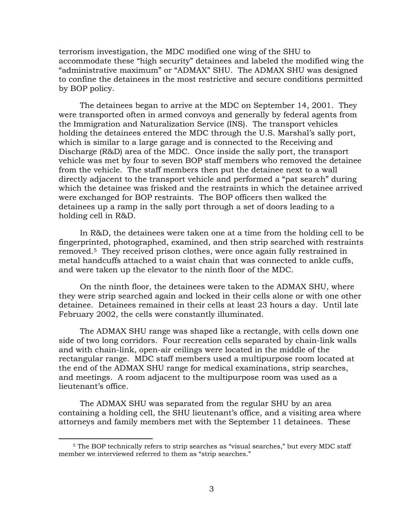terrorism investigation, the MDC modified one wing of the SHU to accommodate these "high security" detainees and labeled the modified wing the "administrative maximum" or "ADMAX" SHU. The ADMAX SHU was designed to confine the detainees in the most restrictive and secure conditions permitted by BOP policy.

The detainees began to arrive at the MDC on September 14, 2001. They were transported often in armed convoys and generally by federal agents from the Immigration and Naturalization Service (INS). The transport vehicles holding the detainees entered the MDC through the U.S. Marshal's sally port, which is similar to a large garage and is connected to the Receiving and Discharge (R&D) area of the MDC. Once inside the sally port, the transport vehicle was met by four to seven BOP staff members who removed the detainee from the vehicle. The staff members then put the detainee next to a wall directly adjacent to the transport vehicle and performed a "pat search" during which the detainee was frisked and the restraints in which the detainee arrived were exchanged for BOP restraints. The BOP officers then walked the detainees up a ramp in the sally port through a set of doors leading to a holding cell in R&D.

In R&D, the detainees were taken one at a time from the holding cell to be fingerprinted, photographed, examined, and then strip searched with restraints removed[.5](#page-4-0) They received prison clothes, were once again fully restrained in metal handcuffs attached to a waist chain that was connected to ankle cuffs, and were taken up the elevator to the ninth floor of the MDC.

On the ninth floor, the detainees were taken to the ADMAX SHU, where they were strip searched again and locked in their cells alone or with one other detainee. Detainees remained in their cells at least 23 hours a day. Until late February 2002, the cells were constantly illuminated.

The ADMAX SHU range was shaped like a rectangle, with cells down one side of two long corridors. Four recreation cells separated by chain-link walls and with chain-link, open-air ceilings were located in the middle of the rectangular range. MDC staff members used a multipurpose room located at the end of the ADMAX SHU range for medical examinations, strip searches, and meetings. A room adjacent to the multipurpose room was used as a lieutenant's office.

The ADMAX SHU was separated from the regular SHU by an area containing a holding cell, the SHU lieutenant's office, and a visiting area where attorneys and family members met with the September 11 detainees. These

<u>.</u>

<span id="page-4-0"></span><sup>5</sup> The BOP technically refers to strip searches as "visual searches," but every MDC staff member we interviewed referred to them as "strip searches."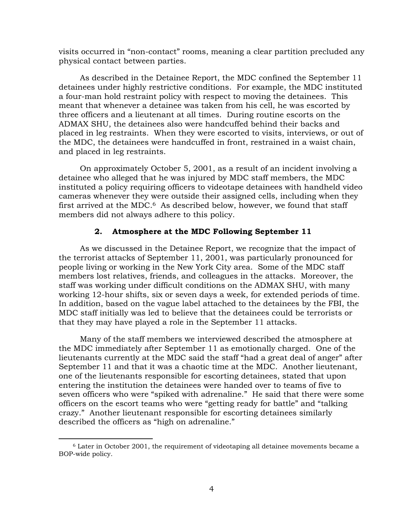<span id="page-5-0"></span>visits occurred in "non-contact" rooms, meaning a clear partition precluded any physical contact between parties.

As described in the Detainee Report, the MDC confined the September 11 detainees under highly restrictive conditions. For example, the MDC instituted a four-man hold restraint policy with respect to moving the detainees. This meant that whenever a detainee was taken from his cell, he was escorted by three officers and a lieutenant at all times. During routine escorts on the ADMAX SHU, the detainees also were handcuffed behind their backs and placed in leg restraints. When they were escorted to visits, interviews, or out of the MDC, the detainees were handcuffed in front, restrained in a waist chain, and placed in leg restraints.

On approximately October 5, 2001, as a result of an incident involving a detainee who alleged that he was injured by MDC staff members, the MDC instituted a policy requiring officers to videotape detainees with handheld video cameras whenever they were outside their assigned cells, including when they first arrived at the MDC.<sup>6</sup> As described below, however, we found that staff members did not always adhere to this policy.

## **2. Atmosphere at the MDC Following September 11**

As we discussed in the Detainee Report, we recognize that the impact of the terrorist attacks of September 11, 2001, was particularly pronounced for people living or working in the New York City area. Some of the MDC staff members lost relatives, friends, and colleagues in the attacks. Moreover, the staff was working under difficult conditions on the ADMAX SHU, with many working 12-hour shifts, six or seven days a week, for extended periods of time. In addition, based on the vague label attached to the detainees by the FBI, the MDC staff initially was led to believe that the detainees could be terrorists or that they may have played a role in the September 11 attacks.

Many of the staff members we interviewed described the atmosphere at the MDC immediately after September 11 as emotionally charged. One of the lieutenants currently at the MDC said the staff "had a great deal of anger" after September 11 and that it was a chaotic time at the MDC. Another lieutenant, one of the lieutenants responsible for escorting detainees, stated that upon entering the institution the detainees were handed over to teams of five to seven officers who were "spiked with adrenaline." He said that there were some officers on the escort teams who were "getting ready for battle" and "talking crazy." Another lieutenant responsible for escorting detainees similarly described the officers as "high on adrenaline."

<span id="page-5-1"></span><sup>6</sup> Later in October 2001, the requirement of videotaping all detainee movements became a BOP-wide policy.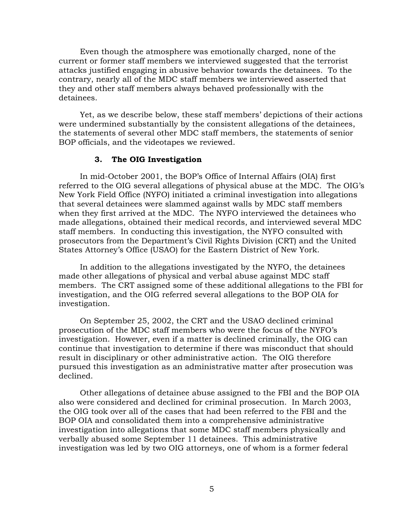<span id="page-6-0"></span>Even though the atmosphere was emotionally charged, none of the current or former staff members we interviewed suggested that the terrorist attacks justified engaging in abusive behavior towards the detainees. To the contrary, nearly all of the MDC staff members we interviewed asserted that they and other staff members always behaved professionally with the detainees.

Yet, as we describe below, these staff members' depictions of their actions were undermined substantially by the consistent allegations of the detainees, the statements of several other MDC staff members, the statements of senior BOP officials, and the videotapes we reviewed.

### **3. The OIG Investigation**

In mid-October 2001, the BOP's Office of Internal Affairs (OIA) first referred to the OIG several allegations of physical abuse at the MDC. The OIG's New York Field Office (NYFO) initiated a criminal investigation into allegations that several detainees were slammed against walls by MDC staff members when they first arrived at the MDC. The NYFO interviewed the detainees who made allegations, obtained their medical records, and interviewed several MDC staff members. In conducting this investigation, the NYFO consulted with prosecutors from the Department's Civil Rights Division (CRT) and the United States Attorney's Office (USAO) for the Eastern District of New York.

In addition to the allegations investigated by the NYFO, the detainees made other allegations of physical and verbal abuse against MDC staff members. The CRT assigned some of these additional allegations to the FBI for investigation, and the OIG referred several allegations to the BOP OIA for investigation.

On September 25, 2002, the CRT and the USAO declined criminal prosecution of the MDC staff members who were the focus of the NYFO's investigation. However, even if a matter is declined criminally, the OIG can continue that investigation to determine if there was misconduct that should result in disciplinary or other administrative action. The OIG therefore pursued this investigation as an administrative matter after prosecution was declined.

Other allegations of detainee abuse assigned to the FBI and the BOP OIA also were considered and declined for criminal prosecution. In March 2003, the OIG took over all of the cases that had been referred to the FBI and the BOP OIA and consolidated them into a comprehensive administrative investigation into allegations that some MDC staff members physically and verbally abused some September 11 detainees. This administrative investigation was led by two OIG attorneys, one of whom is a former federal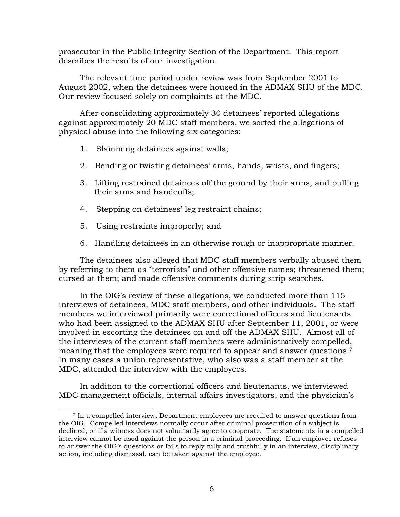prosecutor in the Public Integrity Section of the Department. This report describes the results of our investigation.

The relevant time period under review was from September 2001 to August 2002, when the detainees were housed in the ADMAX SHU of the MDC. Our review focused solely on complaints at the MDC.

After consolidating approximately 30 detainees' reported allegations against approximately 20 MDC staff members, we sorted the allegations of physical abuse into the following six categories:

- 1. Slamming detainees against walls;
- 2. Bending or twisting detainees' arms, hands, wrists, and fingers;
- 3. Lifting restrained detainees off the ground by their arms, and pulling their arms and handcuffs;
- 4. Stepping on detainees' leg restraint chains;
- 5. Using restraints improperly; and

 $\overline{a}$ 

6. Handling detainees in an otherwise rough or inappropriate manner.

The detainees also alleged that MDC staff members verbally abused them by referring to them as "terrorists" and other offensive names; threatened them; cursed at them; and made offensive comments during strip searches.

In the OIG's review of these allegations, we conducted more than 115 interviews of detainees, MDC staff members, and other individuals. The staff members we interviewed primarily were correctional officers and lieutenants who had been assigned to the ADMAX SHU after September 11, 2001, or were involved in escorting the detainees on and off the ADMAX SHU. Almost all of the interviews of the current staff members were administratively compelled, meaning that the employees were required to appear and answer questions.<sup>7</sup> In many cases a union representative, who also was a staff member at the MDC, attended the interview with the employees.

In addition to the correctional officers and lieutenants, we interviewed MDC management officials, internal affairs investigators, and the physician's

<span id="page-7-0"></span><sup>7</sup> In a compelled interview, Department employees are required to answer questions from the OIG. Compelled interviews normally occur after criminal prosecution of a subject is declined, or if a witness does not voluntarily agree to cooperate. The statements in a compelled interview cannot be used against the person in a criminal proceeding. If an employee refuses to answer the OIG's questions or fails to reply fully and truthfully in an interview, disciplinary action, including dismissal, can be taken against the employee.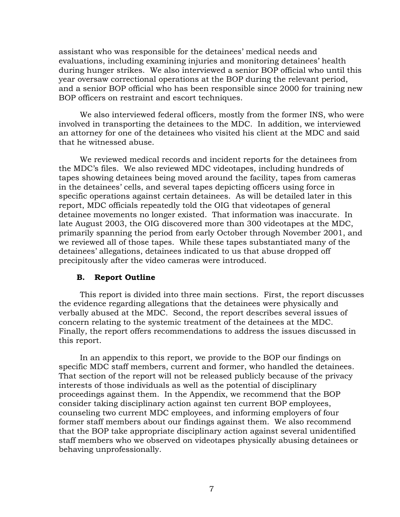<span id="page-8-0"></span>assistant who was responsible for the detainees' medical needs and evaluations, including examining injuries and monitoring detainees' health during hunger strikes. We also interviewed a senior BOP official who until this year oversaw correctional operations at the BOP during the relevant period, and a senior BOP official who has been responsible since 2000 for training new BOP officers on restraint and escort techniques.

We also interviewed federal officers, mostly from the former INS, who were involved in transporting the detainees to the MDC. In addition, we interviewed an attorney for one of the detainees who visited his client at the MDC and said that he witnessed abuse.

We reviewed medical records and incident reports for the detainees from the MDC's files. We also reviewed MDC videotapes, including hundreds of tapes showing detainees being moved around the facility, tapes from cameras in the detainees' cells, and several tapes depicting officers using force in specific operations against certain detainees. As will be detailed later in this report, MDC officials repeatedly told the OIG that videotapes of general detainee movements no longer existed. That information was inaccurate. In late August 2003, the OIG discovered more than 300 videotapes at the MDC, primarily spanning the period from early October through November 2001, and we reviewed all of those tapes. While these tapes substantiated many of the detainees' allegations, detainees indicated to us that abuse dropped off precipitously after the video cameras were introduced.

## **B. Report Outline**

This report is divided into three main sections. First, the report discusses the evidence regarding allegations that the detainees were physically and verbally abused at the MDC. Second, the report describes several issues of concern relating to the systemic treatment of the detainees at the MDC. Finally, the report offers recommendations to address the issues discussed in this report.

In an appendix to this report, we provide to the BOP our findings on specific MDC staff members, current and former, who handled the detainees. That section of the report will not be released publicly because of the privacy interests of those individuals as well as the potential of disciplinary proceedings against them. In the Appendix, we recommend that the BOP consider taking disciplinary action against ten current BOP employees, counseling two current MDC employees, and informing employers of four former staff members about our findings against them. We also recommend that the BOP take appropriate disciplinary action against several unidentified staff members who we observed on videotapes physically abusing detainees or behaving unprofessionally.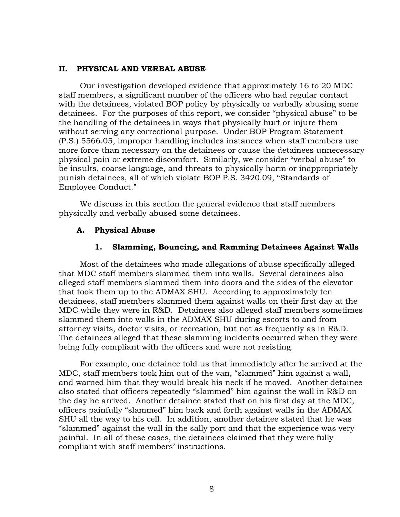#### <span id="page-9-0"></span>**II. PHYSICAL AND VERBAL ABUSE**

Our investigation developed evidence that approximately 16 to 20 MDC staff members, a significant number of the officers who had regular contact with the detainees, violated BOP policy by physically or verbally abusing some detainees. For the purposes of this report, we consider "physical abuse" to be the handling of the detainees in ways that physically hurt or injure them without serving any correctional purpose. Under BOP Program Statement (P.S.) 5566.05, improper handling includes instances when staff members use more force than necessary on the detainees or cause the detainees unnecessary physical pain or extreme discomfort. Similarly, we consider "verbal abuse" to be insults, coarse language, and threats to physically harm or inappropriately punish detainees, all of which violate BOP P.S. 3420.09, "Standards of Employee Conduct."

We discuss in this section the general evidence that staff members physically and verbally abused some detainees.

### **A. Physical Abuse**

### **1. Slamming, Bouncing, and Ramming Detainees Against Walls**

Most of the detainees who made allegations of abuse specifically alleged that MDC staff members slammed them into walls. Several detainees also alleged staff members slammed them into doors and the sides of the elevator that took them up to the ADMAX SHU. According to approximately ten detainees, staff members slammed them against walls on their first day at the MDC while they were in R&D. Detainees also alleged staff members sometimes slammed them into walls in the ADMAX SHU during escorts to and from attorney visits, doctor visits, or recreation, but not as frequently as in R&D. The detainees alleged that these slamming incidents occurred when they were being fully compliant with the officers and were not resisting.

For example, one detainee told us that immediately after he arrived at the MDC, staff members took him out of the van, "slammed" him against a wall, and warned him that they would break his neck if he moved. Another detainee also stated that officers repeatedly "slammed" him against the wall in R&D on the day he arrived. Another detainee stated that on his first day at the MDC, officers painfully "slammed" him back and forth against walls in the ADMAX SHU all the way to his cell. In addition, another detainee stated that he was "slammed" against the wall in the sally port and that the experience was very painful. In all of these cases, the detainees claimed that they were fully compliant with staff members' instructions.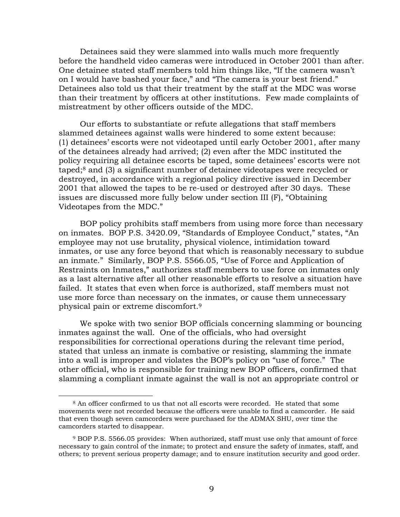Detainees said they were slammed into walls much more frequently before the handheld video cameras were introduced in October 2001 than after. One detainee stated staff members told him things like, "If the camera wasn't on I would have bashed your face," and "The camera is your best friend." Detainees also told us that their treatment by the staff at the MDC was worse than their treatment by officers at other institutions. Few made complaints of mistreatment by other officers outside of the MDC.

Our efforts to substantiate or refute allegations that staff members slammed detainees against walls were hindered to some extent because: (1) detainees' escorts were not videotaped until early October 2001, after many of the detainees already had arrived; (2) even after the MDC instituted the policy requiring all detainee escorts be taped, some detainees' escorts were not taped;[8](#page-10-0) and (3) a significant number of detainee videotapes were recycled or destroyed, in accordance with a regional policy directive issued in December 2001 that allowed the tapes to be re-used or destroyed after 30 days. These issues are discussed more fully below under section III (F), "Obtaining Videotapes from the MDC."

BOP policy prohibits staff members from using more force than necessary on inmates. BOP P.S. 3420.09, "Standards of Employee Conduct," states, "An employee may not use brutality, physical violence, intimidation toward inmates, or use any force beyond that which is reasonably necessary to subdue an inmate." Similarly, BOP P.S. 5566.05, "Use of Force and Application of Restraints on Inmates," authorizes staff members to use force on inmates only as a last alternative after all other reasonable efforts to resolve a situation have failed. It states that even when force is authorized, staff members must not use more force than necessary on the inmates, or cause them unnecessary physical pain or extreme discomfort.[9](#page-10-1)

We spoke with two senior BOP officials concerning slamming or bouncing inmates against the wall. One of the officials, who had oversight responsibilities for correctional operations during the relevant time period, stated that unless an inmate is combative or resisting, slamming the inmate into a wall is improper and violates the BOP's policy on "use of force." The other official, who is responsible for training new BOP officers, confirmed that slamming a compliant inmate against the wall is not an appropriate control or

<span id="page-10-0"></span><sup>8</sup> An officer confirmed to us that not all escorts were recorded. He stated that some movements were not recorded because the officers were unable to find a camcorder. He said that even though seven camcorders were purchased for the ADMAX SHU, over time the camcorders started to disappear.

<span id="page-10-1"></span><sup>9</sup> BOP P.S. 5566.05 provides: When authorized, staff must use only that amount of force necessary to gain control of the inmate; to protect and ensure the safety of inmates, staff, and others; to prevent serious property damage; and to ensure institution security and good order.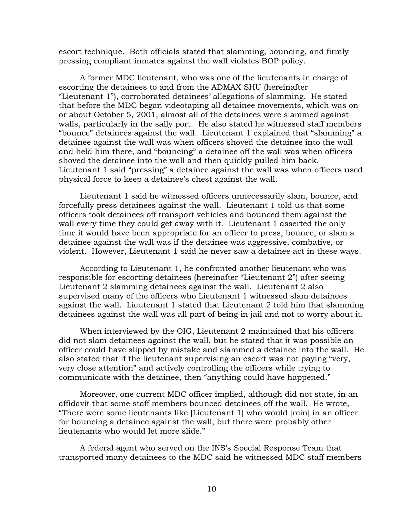escort technique. Both officials stated that slamming, bouncing, and firmly pressing compliant inmates against the wall violates BOP policy.

A former MDC lieutenant, who was one of the lieutenants in charge of escorting the detainees to and from the ADMAX SHU (hereinafter "Lieutenant 1"), corroborated detainees' allegations of slamming. He stated that before the MDC began videotaping all detainee movements, which was on or about October 5, 2001, almost all of the detainees were slammed against walls, particularly in the sally port. He also stated he witnessed staff members "bounce" detainees against the wall. Lieutenant 1 explained that "slamming" a detainee against the wall was when officers shoved the detainee into the wall and held him there, and "bouncing" a detainee off the wall was when officers shoved the detainee into the wall and then quickly pulled him back. Lieutenant 1 said "pressing" a detainee against the wall was when officers used physical force to keep a detainee's chest against the wall.

Lieutenant 1 said he witnessed officers unnecessarily slam, bounce, and forcefully press detainees against the wall. Lieutenant 1 told us that some officers took detainees off transport vehicles and bounced them against the wall every time they could get away with it. Lieutenant 1 asserted the only time it would have been appropriate for an officer to press, bounce, or slam a detainee against the wall was if the detainee was aggressive, combative, or violent. However, Lieutenant 1 said he never saw a detainee act in these ways.

According to Lieutenant 1, he confronted another lieutenant who was responsible for escorting detainees (hereinafter "Lieutenant 2") after seeing Lieutenant 2 slamming detainees against the wall. Lieutenant 2 also supervised many of the officers who Lieutenant 1 witnessed slam detainees against the wall. Lieutenant 1 stated that Lieutenant 2 told him that slamming detainees against the wall was all part of being in jail and not to worry about it.

When interviewed by the OIG, Lieutenant 2 maintained that his officers did not slam detainees against the wall, but he stated that it was possible an officer could have slipped by mistake and slammed a detainee into the wall. He also stated that if the lieutenant supervising an escort was not paying "very, very close attention" and actively controlling the officers while trying to communicate with the detainee, then "anything could have happened."

Moreover, one current MDC officer implied, although did not state, in an affidavit that some staff members bounced detainees off the wall. He wrote, "There were some lieutenants like [Lieutenant 1] who would [rein] in an officer for bouncing a detainee against the wall, but there were probably other lieutenants who would let more slide."

A federal agent who served on the INS's Special Response Team that transported many detainees to the MDC said he witnessed MDC staff members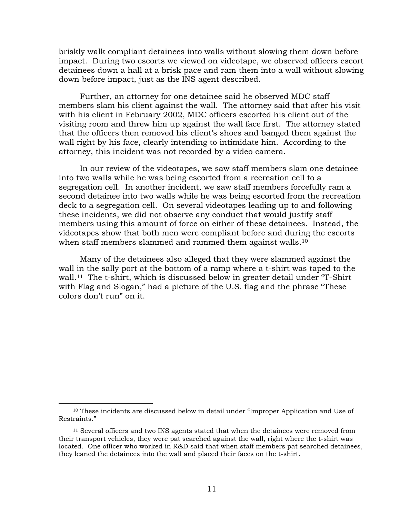briskly walk compliant detainees into walls without slowing them down before impact. During two escorts we viewed on videotape, we observed officers escort detainees down a hall at a brisk pace and ram them into a wall without slowing down before impact, just as the INS agent described.

Further, an attorney for one detainee said he observed MDC staff members slam his client against the wall. The attorney said that after his visit with his client in February 2002, MDC officers escorted his client out of the visiting room and threw him up against the wall face first. The attorney stated that the officers then removed his client's shoes and banged them against the wall right by his face, clearly intending to intimidate him. According to the attorney, this incident was not recorded by a video camera.

In our review of the videotapes, we saw staff members slam one detainee into two walls while he was being escorted from a recreation cell to a segregation cell. In another incident, we saw staff members forcefully ram a second detainee into two walls while he was being escorted from the recreation deck to a segregation cell. On several videotapes leading up to and following these incidents, we did not observe any conduct that would justify staff members using this amount of force on either of these detainees. Instead, the videotapes show that both men were compliant before and during the escorts when staff members slammed and rammed them against walls.<sup>10</sup>

Many of the detainees also alleged that they were slammed against the wall in the sally port at the bottom of a ramp where a t-shirt was taped to the wall.<sup>11</sup> The t-shirt, which is discussed below in greater detail under "T-Shirt" with Flag and Slogan," had a picture of the U.S. flag and the phrase "These colors don't run" on it.

1

<span id="page-12-0"></span><sup>10</sup> These incidents are discussed below in detail under "Improper Application and Use of Restraints."

<span id="page-12-1"></span> $11$  Several officers and two INS agents stated that when the detainees were removed from their transport vehicles, they were pat searched against the wall, right where the t-shirt was located. One officer who worked in R&D said that when staff members pat searched detainees, they leaned the detainees into the wall and placed their faces on the t-shirt.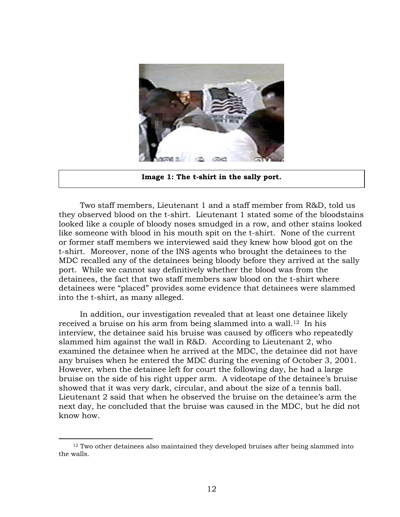

**Image 1: The t-shirt in the sally port.** 

Two staff members, Lieutenant 1 and a staff member from R&D, told us they observed blood on the t-shirt. Lieutenant 1 stated some of the bloodstains looked like a couple of bloody noses smudged in a row, and other stains looked like someone with blood in his mouth spit on the t-shirt. None of the current or former staff members we interviewed said they knew how blood got on the t-shirt. Moreover, none of the INS agents who brought the detainees to the MDC recalled any of the detainees being bloody before they arrived at the sally port. While we cannot say definitively whether the blood was from the detainees, the fact that two staff members saw blood on the t-shirt where detainees were "placed" provides some evidence that detainees were slammed into the t-shirt, as many alleged.

In addition, our investigation revealed that at least one detainee likely received a bruise on his arm from being slammed into a wall.[12](#page-13-0) In his interview, the detainee said his bruise was caused by officers who repeatedly slammed him against the wall in R&D. According to Lieutenant 2, who examined the detainee when he arrived at the MDC, the detainee did not have any bruises when he entered the MDC during the evening of October 3, 2001. However, when the detainee left for court the following day, he had a large bruise on the side of his right upper arm. A videotape of the detainee's bruise showed that it was very dark, circular, and about the size of a tennis ball. Lieutenant 2 said that when he observed the bruise on the detainee's arm the next day, he concluded that the bruise was caused in the MDC, but he did not know how.

<span id="page-13-0"></span><sup>12</sup> Two other detainees also maintained they developed bruises after being slammed into the walls.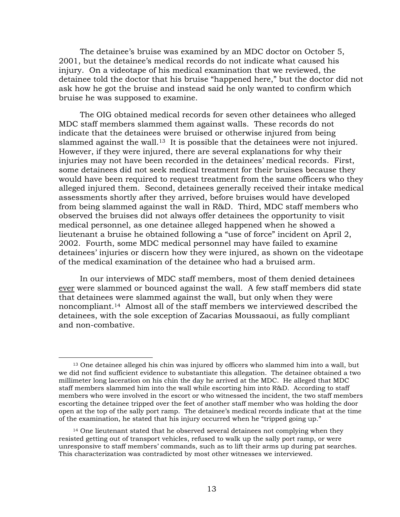The detainee's bruise was examined by an MDC doctor on October 5, 2001, but the detainee's medical records do not indicate what caused his injury. On a videotape of his medical examination that we reviewed, the detainee told the doctor that his bruise "happened here," but the doctor did not ask how he got the bruise and instead said he only wanted to confirm which bruise he was supposed to examine.

The OIG obtained medical records for seven other detainees who alleged MDC staff members slammed them against walls. These records do not indicate that the detainees were bruised or otherwise injured from being slammed against the wall.<sup>13</sup> It is possible that the detainees were not injured. However, if they were injured, there are several explanations for why their injuries may not have been recorded in the detainees' medical records. First, some detainees did not seek medical treatment for their bruises because they would have been required to request treatment from the same officers who they alleged injured them. Second, detainees generally received their intake medical assessments shortly after they arrived, before bruises would have developed from being slammed against the wall in R&D. Third, MDC staff members who observed the bruises did not always offer detainees the opportunity to visit medical personnel, as one detainee alleged happened when he showed a lieutenant a bruise he obtained following a "use of force" incident on April 2, 2002. Fourth, some MDC medical personnel may have failed to examine detainees' injuries or discern how they were injured, as shown on the videotape of the medical examination of the detainee who had a bruised arm.

In our interviews of MDC staff members, most of them denied detainees ever were slammed or bounced against the wall. A few staff members did state that detainees were slammed against the wall, but only when they were noncompliant.[14](#page-14-1) Almost all of the staff members we interviewed described the detainees, with the sole exception of Zacarias Moussaoui, as fully compliant and non-combative.

1

<span id="page-14-0"></span><sup>13</sup> One detainee alleged his chin was injured by officers who slammed him into a wall, but we did not find sufficient evidence to substantiate this allegation. The detainee obtained a two millimeter long laceration on his chin the day he arrived at the MDC. He alleged that MDC staff members slammed him into the wall while escorting him into R&D. According to staff members who were involved in the escort or who witnessed the incident, the two staff members escorting the detainee tripped over the feet of another staff member who was holding the door open at the top of the sally port ramp. The detainee's medical records indicate that at the time of the examination, he stated that his injury occurred when he "tripped going up."

<span id="page-14-1"></span><sup>&</sup>lt;sup>14</sup> One lieutenant stated that he observed several detainees not complying when they resisted getting out of transport vehicles, refused to walk up the sally port ramp, or were unresponsive to staff members' commands, such as to lift their arms up during pat searches. This characterization was contradicted by most other witnesses we interviewed.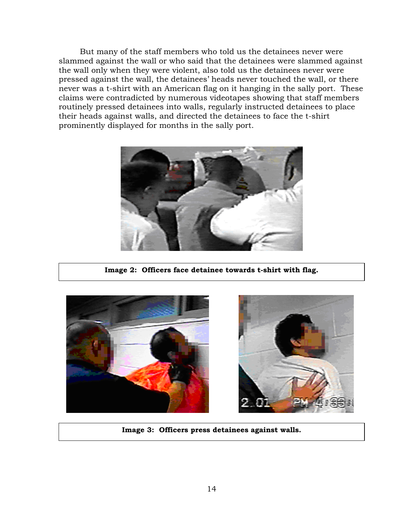But many of the staff members who told us the detainees never were slammed against the wall or who said that the detainees were slammed against the wall only when they were violent, also told us the detainees never were pressed against the wall, the detainees' heads never touched the wall, or there never was a t-shirt with an American flag on it hanging in the sally port. These claims were contradicted by numerous videotapes showing that staff members routinely pressed detainees into walls, regularly instructed detainees to place their heads against walls, and directed the detainees to face the t-shirt prominently displayed for months in the sally port.



**Image 2: Officers face detainee towards t-shirt with flag.** 





**Image 3: Officers press detainees against walls.**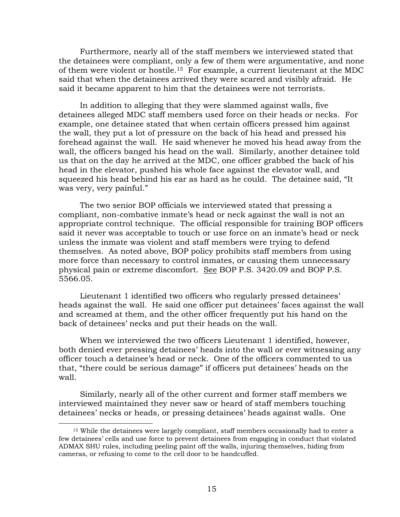Furthermore, nearly all of the staff members we interviewed stated that the detainees were compliant, only a few of them were argumentative, and none of them were violent or hostile.[15](#page-16-0) For example, a current lieutenant at the MDC said that when the detainees arrived they were scared and visibly afraid. He said it became apparent to him that the detainees were not terrorists.

In addition to alleging that they were slammed against walls, five detainees alleged MDC staff members used force on their heads or necks. For example, one detainee stated that when certain officers pressed him against the wall, they put a lot of pressure on the back of his head and pressed his forehead against the wall. He said whenever he moved his head away from the wall, the officers banged his head on the wall. Similarly, another detainee told us that on the day he arrived at the MDC, one officer grabbed the back of his head in the elevator, pushed his whole face against the elevator wall, and squeezed his head behind his ear as hard as he could. The detainee said, "It was very, very painful."

The two senior BOP officials we interviewed stated that pressing a compliant, non-combative inmate's head or neck against the wall is not an appropriate control technique. The official responsible for training BOP officers said it never was acceptable to touch or use force on an inmate's head or neck unless the inmate was violent and staff members were trying to defend themselves. As noted above, BOP policy prohibits staff members from using more force than necessary to control inmates, or causing them unnecessary physical pain or extreme discomfort. See BOP P.S. 3420.09 and BOP P.S. 5566.05.

Lieutenant 1 identified two officers who regularly pressed detainees' heads against the wall. He said one officer put detainees' faces against the wall and screamed at them, and the other officer frequently put his hand on the back of detainees' necks and put their heads on the wall.

When we interviewed the two officers Lieutenant 1 identified, however, both denied ever pressing detainees' heads into the wall or ever witnessing any officer touch a detainee's head or neck. One of the officers commented to us that, "there could be serious damage" if officers put detainees' heads on the wall.

Similarly, nearly all of the other current and former staff members we interviewed maintained they never saw or heard of staff members touching detainees' necks or heads, or pressing detainees' heads against walls. One

1

<span id="page-16-0"></span><sup>&</sup>lt;sup>15</sup> While the detainees were largely compliant, staff members occasionally had to enter a few detainees' cells and use force to prevent detainees from engaging in conduct that violated ADMAX SHU rules, including peeling paint off the walls, injuring themselves, hiding from cameras, or refusing to come to the cell door to be handcuffed.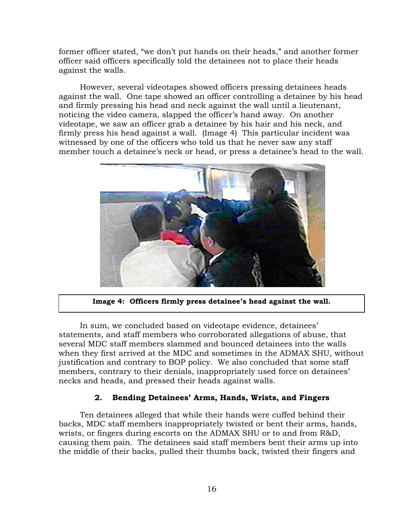<span id="page-17-0"></span>former officer stated, "we don't put hands on their heads," and another former officer said officers specifically told the detainees not to place their heads against the walls.

However, several videotapes showed officers pressing detainees heads against the wall. One tape showed an officer controlling a detainee by his head and firmly pressing his head and neck against the wall until a lieutenant, noticing the video camera, slapped the officer's hand away. On another videotape, we saw an officer grab a detainee by his hair and his neck, and firmly press his head against a wall. (Image 4) This particular incident was witnessed by one of the officers who told us that he never saw any staff member touch a detainee's neck or head, or press a detainee's head to the wall.



**Image 4: Officers firmly press detainee's head against the wall.** 

In sum, we concluded based on videotape evidence, detainees' statements, and staff members who corroborated allegations of abuse, that several MDC staff members slammed and bounced detainees into the walls when they first arrived at the MDC and sometimes in the ADMAX SHU, without justification and contrary to BOP policy. We also concluded that some staff members, contrary to their denials, inappropriately used force on detainees' necks and heads, and pressed their heads against walls.

## **2. Bending Detainees' Arms, Hands, Wrists, and Fingers**

Ten detainees alleged that while their hands were cuffed behind their backs, MDC staff members inappropriately twisted or bent their arms, hands, wrists, or fingers during escorts on the ADMAX SHU or to and from R&D, causing them pain. The detainees said staff members bent their arms up into the middle of their backs, pulled their thumbs back, twisted their fingers and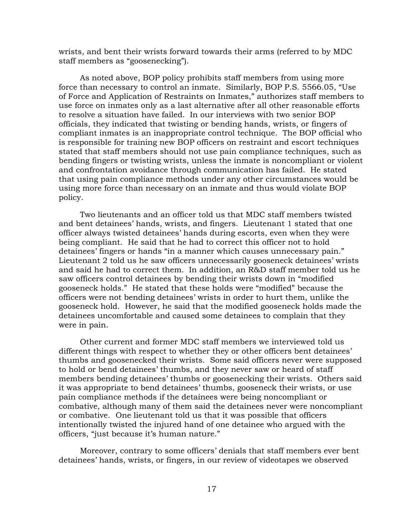wrists, and bent their wrists forward towards their arms (referred to by MDC staff members as "goosenecking").

As noted above, BOP policy prohibits staff members from using more force than necessary to control an inmate. Similarly, BOP P.S. 5566.05, "Use of Force and Application of Restraints on Inmates," authorizes staff members to use force on inmates only as a last alternative after all other reasonable efforts to resolve a situation have failed. In our interviews with two senior BOP officials, they indicated that twisting or bending hands, wrists, or fingers of compliant inmates is an inappropriate control technique. The BOP official who is responsible for training new BOP officers on restraint and escort techniques stated that staff members should not use pain compliance techniques, such as bending fingers or twisting wrists, unless the inmate is noncompliant or violent and confrontation avoidance through communication has failed. He stated that using pain compliance methods under any other circumstances would be using more force than necessary on an inmate and thus would violate BOP policy.

Two lieutenants and an officer told us that MDC staff members twisted and bent detainees' hands, wrists, and fingers. Lieutenant 1 stated that one officer always twisted detainees' hands during escorts, even when they were being compliant.He said that he had to correct this officer not to hold detainees' fingers or hands "in a manner which causes unnecessary pain." Lieutenant 2 told us he saw officers unnecessarily gooseneck detainees' wrists and said he had to correct them. In addition, an R&D staff member told us he saw officers control detainees by bending their wrists down in "modified gooseneck holds." He stated that these holds were "modified" because the officers were not bending detainees' wrists in order to hurt them, unlike the gooseneck hold. However, he said that the modified gooseneck holds made the detainees uncomfortable and caused some detainees to complain that they were in pain.

Other current and former MDC staff members we interviewed told us different things with respect to whether they or other officers bent detainees' thumbs and goosenecked their wrists. Some said officers never were supposed to hold or bend detainees' thumbs, and they never saw or heard of staff members bending detainees' thumbs or goosenecking their wrists. Others said it was appropriate to bend detainees' thumbs, gooseneck their wrists, or use pain compliance methods if the detainees were being noncompliant or combative, although many of them said the detainees never were noncompliant or combative.One lieutenant told us that it was possible that officers intentionally twisted the injured hand of one detainee who argued with the officers, "just because it's human nature."

Moreover, contrary to some officers' denials that staff members ever bent detainees' hands, wrists, or fingers, in our review of videotapes we observed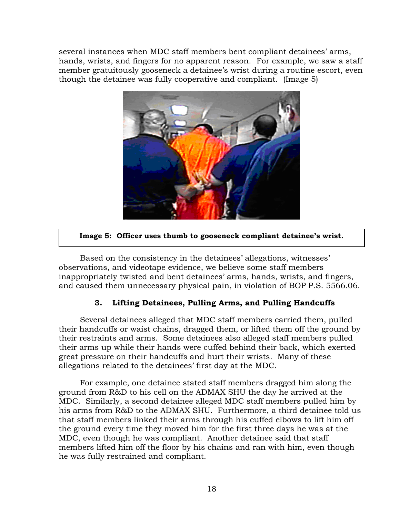<span id="page-19-0"></span>several instances when MDC staff members bent compliant detainees' arms, hands, wrists, and fingers for no apparent reason.For example, we saw a staff member gratuitously gooseneck a detainee's wrist during a routine escort, even though the detainee was fully cooperative and compliant.(Image 5)



## **Image 5: Officer uses thumb to gooseneck compliant detainee's wrist.**

Based on the consistency in the detainees' allegations, witnesses' observations, and videotape evidence, we believe some staff members inappropriately twisted and bent detainees' arms, hands, wrists, and fingers, and caused them unnecessary physical pain, in violation of BOP P.S. 5566.06.

## **3. Lifting Detainees, Pulling Arms, and Pulling Handcuffs**

Several detainees alleged that MDC staff members carried them, pulled their handcuffs or waist chains, dragged them, or lifted them off the ground by their restraints and arms. Some detainees also alleged staff members pulled their arms up while their hands were cuffed behind their back, which exerted great pressure on their handcuffs and hurt their wrists. Many of these allegations related to the detainees' first day at the MDC.

For example, one detainee stated staff members dragged him along the ground from R&D to his cell on the ADMAX SHU the day he arrived at the MDC. Similarly, a second detainee alleged MDC staff members pulled him by his arms from R&D to the ADMAX SHU. Furthermore, a third detainee told us that staff members linked their arms through his cuffed elbows to lift him off the ground every time they moved him for the first three days he was at the MDC, even though he was compliant. Another detainee said that staff members lifted him off the floor by his chains and ran with him, even though he was fully restrained and compliant.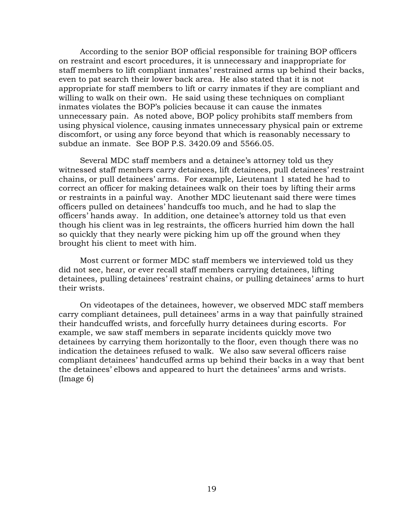According to the senior BOP official responsible for training BOP officers on restraint and escort procedures, it is unnecessary and inappropriate for staff members to lift compliant inmates' restrained arms up behind their backs, even to pat search their lower back area. He also stated that it is not appropriate for staff members to lift or carry inmates if they are compliant and willing to walk on their own. He said using these techniques on compliant inmates violates the BOP's policies because it can cause the inmates unnecessary pain. As noted above, BOP policy prohibits staff members from using physical violence, causing inmates unnecessary physical pain or extreme discomfort, or using any force beyond that which is reasonably necessary to subdue an inmate. See BOP P.S. 3420.09 and 5566.05.

Several MDC staff members and a detainee's attorney told us they witnessed staff members carry detainees, lift detainees, pull detainees' restraint chains, or pull detainees' arms. For example, Lieutenant 1 stated he had to correct an officer for making detainees walk on their toes by lifting their arms or restraints in a painful way. Another MDC lieutenant said there were times officers pulled on detainees' handcuffs too much, and he had to slap the officers' hands away. In addition, one detainee's attorney told us that even though his client was in leg restraints, the officers hurried him down the hall so quickly that they nearly were picking him up off the ground when they brought his client to meet with him.

Most current or former MDC staff members we interviewed told us they did not see, hear, or ever recall staff members carrying detainees, lifting detainees, pulling detainees' restraint chains, or pulling detainees' arms to hurt their wrists.

On videotapes of the detainees, however, we observed MDC staff members carry compliant detainees, pull detainees' arms in a way that painfully strained their handcuffed wrists, and forcefully hurry detainees during escorts. For example, we saw staff members in separate incidents quickly move two detainees by carrying them horizontally to the floor, even though there was no indication the detainees refused to walk.We also saw several officers raise compliant detainees' handcuffed arms up behind their backs in a way that bent the detainees' elbows and appeared to hurt the detainees' arms and wrists. (Image 6)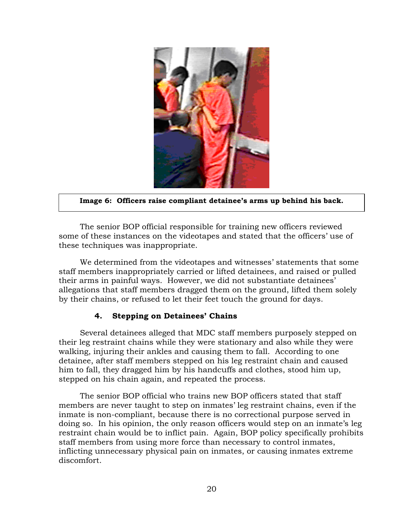<span id="page-21-0"></span>

### **Image 6: Officers raise compliant detainee's arms up behind his back.**

The senior BOP official responsible for training new officers reviewed some of these instances on the videotapes and stated that the officers' use of these techniques was inappropriate.

We determined from the videotapes and witnesses' statements that some staff members inappropriately carried or lifted detainees, and raised or pulled their arms in painful ways. However, we did not substantiate detainees' allegations that staff members dragged them on the ground, lifted them solely by their chains, or refused to let their feet touch the ground for days.

## **4. Stepping on Detainees' Chains**

Several detainees alleged that MDC staff members purposely stepped on their leg restraint chains while they were stationary and also while they were walking, injuring their ankles and causing them to fall. According to one detainee, after staff members stepped on his leg restraint chain and caused him to fall, they dragged him by his handcuffs and clothes, stood him up, stepped on his chain again, and repeated the process.

The senior BOP official who trains new BOP officers stated that staff members are never taught to step on inmates' leg restraint chains, even if the inmate is non-compliant, because there is no correctional purpose served in doing so. In his opinion, the only reason officers would step on an inmate's leg restraint chain would be to inflict pain. Again, BOP policy specifically prohibits staff members from using more force than necessary to control inmates, inflicting unnecessary physical pain on inmates, or causing inmates extreme discomfort.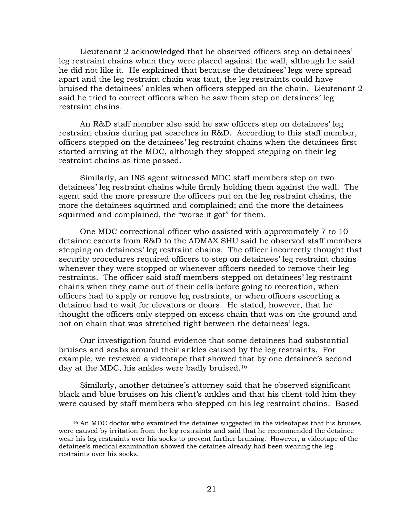Lieutenant 2 acknowledged that he observed officers step on detainees' leg restraint chains when they were placed against the wall, although he said he did not like it. He explained that because the detainees' legs were spread apart and the leg restraint chain was taut, the leg restraints could have bruised the detainees' ankles when officers stepped on the chain. Lieutenant 2 said he tried to correct officers when he saw them step on detainees' leg restraint chains.

An R&D staff member also said he saw officers step on detainees' leg restraint chains during pat searches in R&D. According to this staff member, officers stepped on the detainees' leg restraint chains when the detainees first started arriving at the MDC, although they stopped stepping on their leg restraint chains as time passed.

Similarly, an INS agent witnessed MDC staff members step on two detainees' leg restraint chains while firmly holding them against the wall. The agent said the more pressure the officers put on the leg restraint chains, the more the detainees squirmed and complained; and the more the detainees squirmed and complained, the "worse it got" for them.

One MDC correctional officer who assisted with approximately 7 to 10 detainee escorts from R&D to the ADMAX SHU said he observed staff members stepping on detainees' leg restraint chains. The officer incorrectly thought that security procedures required officers to step on detainees' leg restraint chains whenever they were stopped or whenever officers needed to remove their leg restraints. The officer said staff members stepped on detainees' leg restraint chains when they came out of their cells before going to recreation, when officers had to apply or remove leg restraints, or when officers escorting a detainee had to wait for elevators or doors. He stated, however, that he thought the officers only stepped on excess chain that was on the ground and not on chain that was stretched tight between the detainees' legs.

Our investigation found evidence that some detainees had substantial bruises and scabs around their ankles caused by the leg restraints. For example, we reviewed a videotape that showed that by one detainee's second day at the MDC, his ankles were badly bruised.[16](#page-22-0)

Similarly, another detainee's attorney said that he observed significant black and blue bruises on his client's ankles and that his client told him they were caused by staff members who stepped on his leg restraint chains. Based

<span id="page-22-0"></span><sup>&</sup>lt;sup>16</sup> An MDC doctor who examined the detainee suggested in the videotapes that his bruises were caused by irritation from the leg restraints and said that he recommended the detainee wear his leg restraints over his socks to prevent further bruising. However, a videotape of the detainee's medical examination showed the detainee already had been wearing the leg restraints over his socks.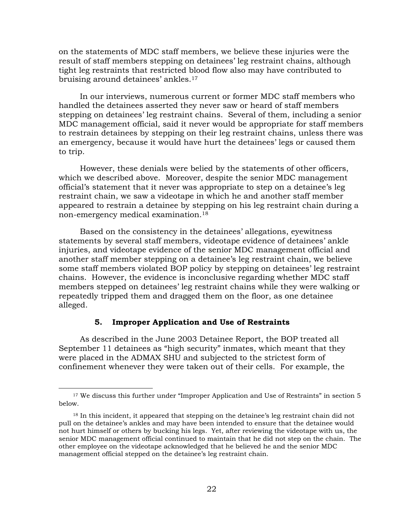<span id="page-23-0"></span>on the statements of MDC staff members, we believe these injuries were the result of staff members stepping on detainees' leg restraint chains, although tight leg restraints that restricted blood flow also may have contributed to bruising around detainees' ankles.<sup>17</sup>

In our interviews, numerous current or former MDC staff members who handled the detainees asserted they never saw or heard of staff members stepping on detainees' leg restraint chains. Several of them, including a senior MDC management official, said it never would be appropriate for staff members to restrain detainees by stepping on their leg restraint chains, unless there was an emergency, because it would have hurt the detainees' legs or caused them to trip.

However, these denials were belied by the statements of other officers, which we described above. Moreover, despite the senior MDC management official's statement that it never was appropriate to step on a detainee's leg restraint chain, we saw a videotape in which he and another staff member appeared to restrain a detainee by stepping on his leg restraint chain during a non-emergency medical examination[.18](#page-23-2) 

Based on the consistency in the detainees' allegations, eyewitness statements by several staff members, videotape evidence of detainees' ankle injuries, and videotape evidence of the senior MDC management official and another staff member stepping on a detainee's leg restraint chain, we believe some staff members violated BOP policy by stepping on detainees' leg restraint chains. However, the evidence is inconclusive regarding whether MDC staff members stepped on detainees' leg restraint chains while they were walking or repeatedly tripped them and dragged them on the floor, as one detainee alleged.

## **5. Improper Application and Use of Restraints**

 $\overline{a}$ 

As described in the June 2003 Detainee Report, the BOP treated all September 11 detainees as "high security" inmates, which meant that they were placed in the ADMAX SHU and subjected to the strictest form of confinement whenever they were taken out of their cells. For example, the

<span id="page-23-1"></span><sup>&</sup>lt;sup>17</sup> We discuss this further under "Improper Application and Use of Restraints" in section 5 below.

<span id="page-23-2"></span><sup>&</sup>lt;sup>18</sup> In this incident, it appeared that stepping on the detainee's leg restraint chain did not pull on the detainee's ankles and may have been intended to ensure that the detainee would not hurt himself or others by bucking his legs. Yet, after reviewing the videotape with us, the senior MDC management official continued to maintain that he did not step on the chain. The other employee on the videotape acknowledged that he believed he and the senior MDC management official stepped on the detainee's leg restraint chain.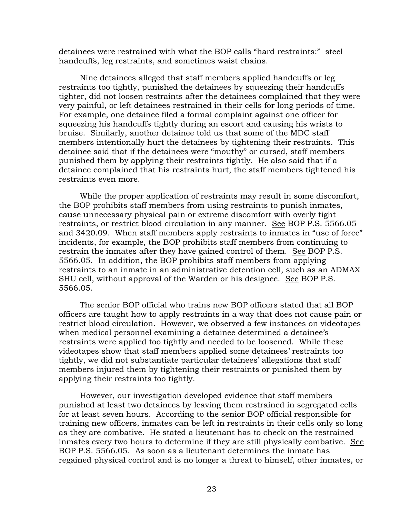detainees were restrained with what the BOP calls "hard restraints:" steel handcuffs, leg restraints, and sometimes waist chains.

Nine detainees alleged that staff members applied handcuffs or leg restraints too tightly, punished the detainees by squeezing their handcuffs tighter, did not loosen restraints after the detainees complained that they were very painful, or left detainees restrained in their cells for long periods of time. For example, one detainee filed a formal complaint against one officer for squeezing his handcuffs tightly during an escort and causing his wrists to bruise. Similarly, another detainee told us that some of the MDC staff members intentionally hurt the detainees by tightening their restraints. This detainee said that if the detainees were "mouthy" or cursed, staff members punished them by applying their restraints tightly. He also said that if a detainee complained that his restraints hurt, the staff members tightened his restraints even more.

While the proper application of restraints may result in some discomfort, the BOP prohibits staff members from using restraints to punish inmates, cause unnecessary physical pain or extreme discomfort with overly tight restraints, or restrict blood circulation in any manner. See BOP P.S. 5566.05 and 3420.09. When staff members apply restraints to inmates in "use of force" incidents, for example, the BOP prohibits staff members from continuing to restrain the inmates after they have gained control of them. See BOP P.S. 5566.05.In addition, the BOP prohibits staff members from applying restraints to an inmate in an administrative detention cell, such as an ADMAX SHU cell, without approval of the Warden or his designee. See BOP P.S. 5566.05.

The senior BOP official who trains new BOP officers stated that all BOP officers are taught how to apply restraints in a way that does not cause pain or restrict blood circulation. However, we observed a few instances on videotapes when medical personnel examining a detainee determined a detainee's restraints were applied too tightly and needed to be loosened. While these videotapes show that staff members applied some detainees' restraints too tightly, we did not substantiate particular detainees' allegations that staff members injured them by tightening their restraints or punished them by applying their restraints too tightly.

However, our investigation developed evidence that staff members punished at least two detainees by leaving them restrained in segregated cells for at least seven hours. According to the senior BOP official responsible for training new officers, inmates can be left in restraints in their cells only so long as they are combative. He stated a lieutenant has to check on the restrained inmates every two hours to determine if they are still physically combative. See BOP P.S. 5566.05.As soon as a lieutenant determines the inmate has regained physical control and is no longer a threat to himself, other inmates, or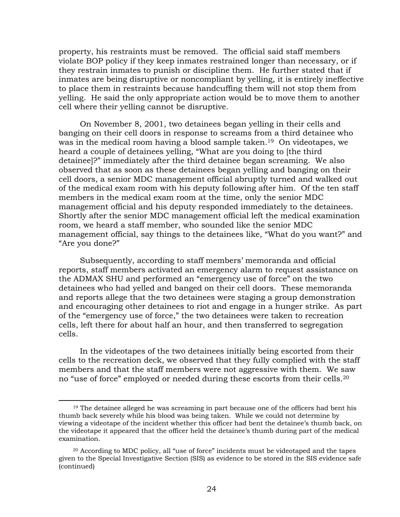<span id="page-25-1"></span>property, his restraints must be removed. The official said staff members violate BOP policy if they keep inmates restrained longer than necessary, or if they restrain inmates to punish or discipline them. He further stated that if inmates are being disruptive or noncompliant by yelling, it is entirely ineffective to place them in restraints because handcuffing them will not stop them from yelling. He said the only appropriate action would be to move them to another cell where their yelling cannot be disruptive.

On November 8, 2001, two detainees began yelling in their cells and banging on their cell doors in response to screams from a third detainee who was in the medical room having a blood sample taken.<sup>19</sup> On videotapes, we heard a couple of detainees yelling, "What are you doing to [the third detainee]?" immediately after the third detainee began screaming. We also observed that as soon as these detainees began yelling and banging on their cell doors, a senior MDC management official abruptly turned and walked out of the medical exam room with his deputy following after him. Of the ten staff members in the medical exam room at the time, only the senior MDC management official and his deputy responded immediately to the detainees. Shortly after the senior MDC management official left the medical examination room, we heard a staff member, who sounded like the senior MDC management official, say things to the detainees like, "What do you want?" and "Are you done?"

Subsequently, according to staff members' memoranda and official reports, staff members activated an emergency alarm to request assistance on the ADMAX SHU and performed an "emergency use of force" on the two detainees who had yelled and banged on their cell doors. These memoranda and reports allege that the two detainees were staging a group demonstration and encouraging other detainees to riot and engage in a hunger strike. As part of the "emergency use of force," the two detainees were taken to recreation cells, left there for about half an hour, and then transferred to segregation cells.

In the videotapes of the two detainees initially being escorted from their cells to the recreation deck, we observed that they fully complied with the staff members and that the staff members were not aggressive with them. We saw no "use of force" employed or needed during these escorts from their cells.[20](#page-25-1)

<span id="page-25-0"></span><sup>&</sup>lt;sup>19</sup> The detainee alleged he was screaming in part because one of the officers had bent his thumb back severely while his blood was being taken. While we could not determine by viewing a videotape of the incident whether this officer had bent the detainee's thumb back, on the videotape it appeared that the officer held the detainee's thumb during part of the medical examination.

<sup>(</sup>continued) 20 According to MDC policy, all "use of force" incidents must be videotaped and the tapes given to the Special Investigative Section (SIS) as evidence to be stored in the SIS evidence safe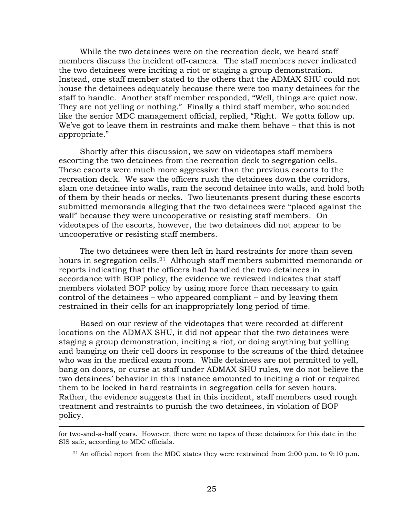While the two detainees were on the recreation deck, we heard staff members discuss the incident off-camera. The staff members never indicated the two detainees were inciting a riot or staging a group demonstration. Instead, one staff member stated to the others that the ADMAX SHU could not house the detainees adequately because there were too many detainees for the staff to handle. Another staff member responded, "Well, things are quiet now. They are not yelling or nothing." Finally a third staff member, who sounded like the senior MDC management official, replied, "Right. We gotta follow up. We've got to leave them in restraints and make them behave – that this is not appropriate."

Shortly after this discussion, we saw on videotapes staff members escorting the two detainees from the recreation deck to segregation cells. These escorts were much more aggressive than the previous escorts to the recreation deck. We saw the officers rush the detainees down the corridors, slam one detainee into walls, ram the second detainee into walls, and hold both of them by their heads or necks. Two lieutenants present during these escorts submitted memoranda alleging that the two detainees were "placed against the wall" because they were uncooperative or resisting staff members. On videotapes of the escorts, however, the two detainees did not appear to be uncooperative or resisting staff members.

The two detainees were then left in hard restraints for more than seven hours in segregation cells.<sup>21</sup> Although staff members submitted memoranda or reports indicating that the officers had handled the two detainees in accordance with BOP policy, the evidence we reviewed indicates that staff members violated BOP policy by using more force than necessary to gain control of the detainees – who appeared compliant – and by leaving them restrained in their cells for an inappropriately long period of time.

Based on our review of the videotapes that were recorded at different locations on the ADMAX SHU, it did not appear that the two detainees were staging a group demonstration, inciting a riot, or doing anything but yelling and banging on their cell doors in response to the screams of the third detainee who was in the medical exam room. While detainees are not permitted to yell, bang on doors, or curse at staff under ADMAX SHU rules, we do not believe the two detainees' behavior in this instance amounted to inciting a riot or required them to be locked in hard restraints in segregation cells for seven hours. Rather, the evidence suggests that in this incident, staff members used rough treatment and restraints to punish the two detainees, in violation of BOP policy.

for two-and-a-half years. However, there were no tapes of these detainees for this date in the SIS safe, according to MDC officials.

<span id="page-26-0"></span><sup>&</sup>lt;sup>21</sup> An official report from the MDC states they were restrained from 2:00 p.m. to 9:10 p.m.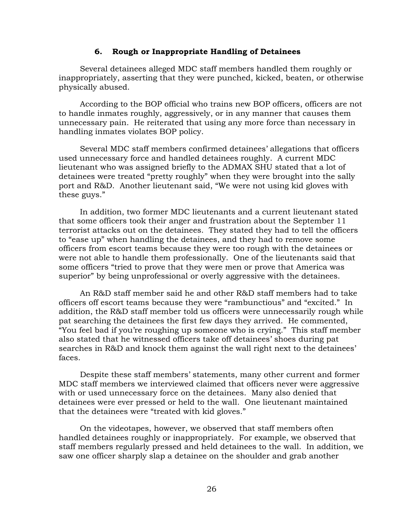#### **6. Rough or Inappropriate Handling of Detainees**

<span id="page-27-0"></span>Several detainees alleged MDC staff members handled them roughly or inappropriately, asserting that they were punched, kicked, beaten, or otherwise physically abused.

According to the BOP official who trains new BOP officers, officers are not to handle inmates roughly, aggressively, or in any manner that causes them unnecessary pain. He reiterated that using any more force than necessary in handling inmates violates BOP policy.

Several MDC staff members confirmed detainees' allegations that officers used unnecessary force and handled detainees roughly. A current MDC lieutenant who was assigned briefly to the ADMAX SHU stated that a lot of detainees were treated "pretty roughly" when they were brought into the sally port and R&D. Another lieutenant said, "We were not using kid gloves with these guys."

In addition, two former MDC lieutenants and a current lieutenant stated that some officers took their anger and frustration about the September 11 terrorist attacks out on the detainees. They stated they had to tell the officers to "ease up" when handling the detainees, and they had to remove some officers from escort teams because they were too rough with the detainees or were not able to handle them professionally. One of the lieutenants said that some officers "tried to prove that they were men or prove that America was superior" by being unprofessional or overly aggressive with the detainees.

An R&D staff member said he and other R&D staff members had to take officers off escort teams because they were "rambunctious" and "excited." In addition, the R&D staff member told us officers were unnecessarily rough while pat searching the detainees the first few days they arrived. He commented, "You feel bad if you're roughing up someone who is crying." This staff member also stated that he witnessed officers take off detainees' shoes during pat searches in R&D and knock them against the wall right next to the detainees' faces.

Despite these staff members' statements, many other current and former MDC staff members we interviewed claimed that officers never were aggressive with or used unnecessary force on the detainees. Many also denied that detainees were ever pressed or held to the wall. One lieutenant maintained that the detainees were "treated with kid gloves."

On the videotapes, however, we observed that staff members often handled detainees roughly or inappropriately. For example, we observed that staff members regularly pressed and held detainees to the wall. In addition, we saw one officer sharply slap a detainee on the shoulder and grab another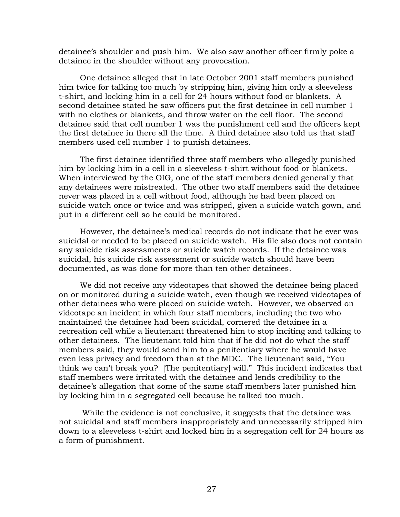detainee's shoulder and push him. We also saw another officer firmly poke a detainee in the shoulder without any provocation.

One detainee alleged that in late October 2001 staff members punished him twice for talking too much by stripping him, giving him only a sleeveless t-shirt, and locking him in a cell for 24 hours without food or blankets. A second detainee stated he saw officers put the first detainee in cell number 1 with no clothes or blankets, and throw water on the cell floor. The second detainee said that cell number 1 was the punishment cell and the officers kept the first detainee in there all the time. A third detainee also told us that staff members used cell number 1 to punish detainees.

The first detainee identified three staff members who allegedly punished him by locking him in a cell in a sleeveless t-shirt without food or blankets. When interviewed by the OIG, one of the staff members denied generally that any detainees were mistreated. The other two staff members said the detainee never was placed in a cell without food, although he had been placed on suicide watch once or twice and was stripped, given a suicide watch gown, and put in a different cell so he could be monitored.

However, the detainee's medical records do not indicate that he ever was suicidal or needed to be placed on suicide watch. His file also does not contain any suicide risk assessments or suicide watch records. If the detainee was suicidal, his suicide risk assessment or suicide watch should have been documented, as was done for more than ten other detainees.

We did not receive any videotapes that showed the detainee being placed on or monitored during a suicide watch, even though we received videotapes of other detainees who were placed on suicide watch. However, we observed on videotape an incident in which four staff members, including the two who maintained the detainee had been suicidal, cornered the detainee in a recreation cell while a lieutenant threatened him to stop inciting and talking to other detainees. The lieutenant told him that if he did not do what the staff members said, they would send him to a penitentiary where he would have even less privacy and freedom than at the MDC. The lieutenant said, "You think we can't break you? [The penitentiary] will." This incident indicates that staff members were irritated with the detainee and lends credibility to the detainee's allegation that some of the same staff members later punished him by locking him in a segregated cell because he talked too much.

While the evidence is not conclusive, it suggests that the detainee was not suicidal and staff members inappropriately and unnecessarily stripped him down to a sleeveless t-shirt and locked him in a segregation cell for 24 hours as a form of punishment.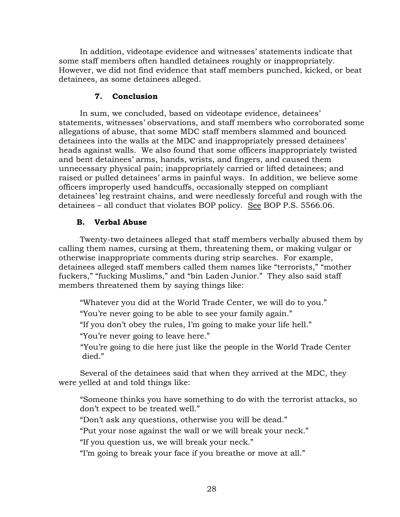<span id="page-29-0"></span>In addition, videotape evidence and witnesses' statements indicate that some staff members often handled detainees roughly or inappropriately. However, we did not find evidence that staff members punched, kicked, or beat detainees, as some detainees alleged.

## **7. Conclusion**

In sum, we concluded, based on videotape evidence, detainees' statements, witnesses' observations, and staff members who corroborated some allegations of abuse, that some MDC staff members slammed and bounced detainees into the walls at the MDC and inappropriately pressed detainees' heads against walls. We also found that some officers inappropriately twisted and bent detainees' arms, hands, wrists, and fingers, and caused them unnecessary physical pain; inappropriately carried or lifted detainees; and raised or pulled detainees' arms in painful ways. In addition, we believe some officers improperly used handcuffs, occasionally stepped on compliant detainees' leg restraint chains, and were needlessly forceful and rough with the detainees – all conduct that violates BOP policy. See BOP P.S. 5566.06.

## **B. Verbal Abuse**

Twenty-two detainees alleged that staff members verbally abused them by calling them names, cursing at them, threatening them, or making vulgar or otherwise inappropriate comments during strip searches. For example, detainees alleged staff members called them names like "terrorists," "mother fuckers," "fucking Muslims," and "bin Laden Junior." They also said staff members threatened them by saying things like:

"Whatever you did at the World Trade Center, we will do to you."

"You're never going to be able to see your family again."

"If you don't obey the rules, I'm going to make your life hell."

"You're never going to leave here."

"You're going to die here just like the people in the World Trade Center died."

Several of the detainees said that when they arrived at the MDC, they were yelled at and told things like:

"Someone thinks you have something to do with the terrorist attacks, so don't expect to be treated well."

"Don't ask any questions, otherwise you will be dead."

"Put your nose against the wall or we will break your neck."

"If you question us, we will break your neck."

"I'm going to break your face if you breathe or move at all."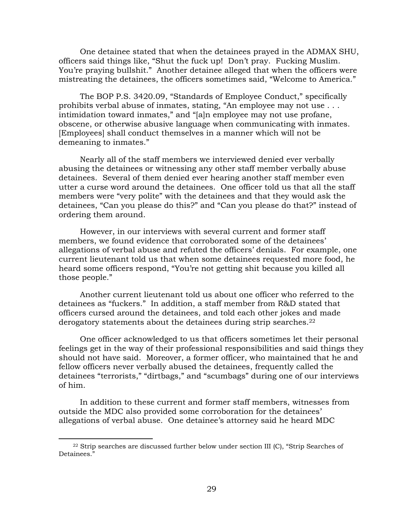One detainee stated that when the detainees prayed in the ADMAX SHU, officers said things like, "Shut the fuck up! Don't pray. Fucking Muslim. You're praying bullshit." Another detainee alleged that when the officers were mistreating the detainees, the officers sometimes said, "Welcome to America."

The BOP P.S. 3420.09, "Standards of Employee Conduct," specifically prohibits verbal abuse of inmates, stating, "An employee may not use . . . intimidation toward inmates," and "[a]n employee may not use profane, obscene, or otherwise abusive language when communicating with inmates. [Employees] shall conduct themselves in a manner which will not be demeaning to inmates."

Nearly all of the staff members we interviewed denied ever verbally abusing the detainees or witnessing any other staff member verbally abuse detainees. Several of them denied ever hearing another staff member even utter a curse word around the detainees. One officer told us that all the staff members were "very polite" with the detainees and that they would ask the detainees, "Can you please do this?" and "Can you please do that?" instead of ordering them around.

However, in our interviews with several current and former staff members, we found evidence that corroborated some of the detainees' allegations of verbal abuse and refuted the officers' denials. For example, one current lieutenant told us that when some detainees requested more food, he heard some officers respond, "You're not getting shit because you killed all those people."

Another current lieutenant told us about one officer who referred to the detainees as "fuckers." In addition, a staff member from R&D stated that officers cursed around the detainees, and told each other jokes and made derogatory statements about the detainees during strip searches.<sup>22</sup>

One officer acknowledged to us that officers sometimes let their personal feelings get in the way of their professional responsibilities and said things they should not have said. Moreover, a former officer, who maintained that he and fellow officers never verbally abused the detainees, frequently called the detainees "terrorists," "dirtbags," and "scumbags" during one of our interviews of him.

In addition to these current and former staff members, witnesses from outside the MDC also provided some corroboration for the detainees' allegations of verbal abuse. One detainee's attorney said he heard MDC

<span id="page-30-0"></span> $22$  Strip searches are discussed further below under section III (C), "Strip Searches of Detainees."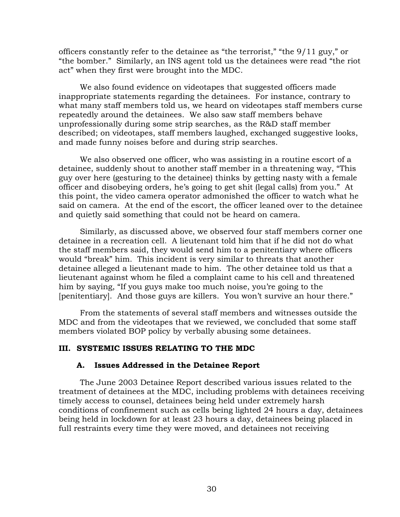<span id="page-31-0"></span>officers constantly refer to the detainee as "the terrorist," "the 9/11 guy," or "the bomber." Similarly, an INS agent told us the detainees were read "the riot act" when they first were brought into the MDC.

We also found evidence on videotapes that suggested officers made inappropriate statements regarding the detainees. For instance, contrary to what many staff members told us, we heard on videotapes staff members curse repeatedly around the detainees. We also saw staff members behave unprofessionally during some strip searches, as the R&D staff member described; on videotapes, staff members laughed, exchanged suggestive looks, and made funny noises before and during strip searches.

We also observed one officer, who was assisting in a routine escort of a detainee, suddenly shout to another staff member in a threatening way, "This guy over here (gesturing to the detainee) thinks by getting nasty with a female officer and disobeying orders, he's going to get shit (legal calls) from you." At this point, the video camera operator admonished the officer to watch what he said on camera. At the end of the escort, the officer leaned over to the detainee and quietly said something that could not be heard on camera.

Similarly, as discussed above, we observed four staff members corner one detainee in a recreation cell. A lieutenant told him that if he did not do what the staff members said, they would send him to a penitentiary where officers would "break" him. This incident is very similar to threats that another detainee alleged a lieutenant made to him. The other detainee told us that a lieutenant against whom he filed a complaint came to his cell and threatened him by saying, "If you guys make too much noise, you're going to the [penitentiary]. And those guys are killers. You won't survive an hour there."

From the statements of several staff members and witnesses outside the MDC and from the videotapes that we reviewed, we concluded that some staff members violated BOP policy by verbally abusing some detainees.

## **III. SYSTEMIC ISSUES RELATING TO THE MDC**

## **A. Issues Addressed in the Detainee Report**

The June 2003 Detainee Report described various issues related to the treatment of detainees at the MDC, including problems with detainees receiving timely access to counsel, detainees being held under extremely harsh conditions of confinement such as cells being lighted 24 hours a day, detainees being held in lockdown for at least 23 hours a day, detainees being placed in full restraints every time they were moved, and detainees not receiving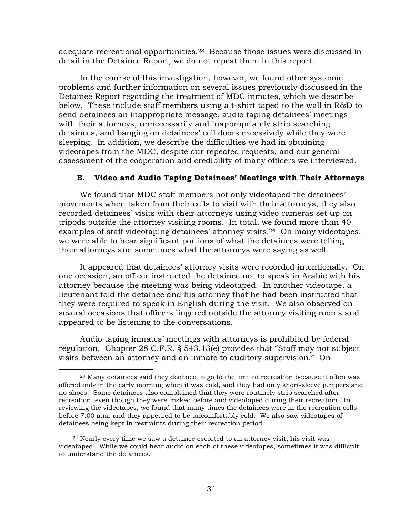<span id="page-32-0"></span>adequate recreational opportunities[.23](#page-32-1) Because those issues were discussed in detail in the Detainee Report, we do not repeat them in this report.

In the course of this investigation, however, we found other systemic problems and further information on several issues previously discussed in the Detainee Report regarding the treatment of MDC inmates, which we describe below. These include staff members using a t-shirt taped to the wall in R&D to send detainees an inappropriate message, audio taping detainees' meetings with their attorneys, unnecessarily and inappropriately strip searching detainees, and banging on detainees' cell doors excessively while they were sleeping. In addition, we describe the difficulties we had in obtaining videotapes from the MDC, despite our repeated requests, and our general assessment of the cooperation and credibility of many officers we interviewed.

## **B. Video and Audio Taping Detainees' Meetings with Their Attorneys**

We found that MDC staff members not only videotaped the detainees' movements when taken from their cells to visit with their attorneys, they also recorded detainees' visits with their attorneys using video cameras set up on tripods outside the attorney visiting rooms. In total, we found more than 40 examples of staff videotaping detainees' attorney visits.<sup>24</sup> On many videotapes, we were able to hear significant portions of what the detainees were telling their attorneys and sometimes what the attorneys were saying as well.

It appeared that detainees' attorney visits were recorded intentionally. On one occasion, an officer instructed the detainee not to speak in Arabic with his attorney because the meeting was being videotaped. In another videotape, a lieutenant told the detainee and his attorney that he had been instructed that they were required to speak in English during the visit. We also observed on several occasions that officers lingered outside the attorney visiting rooms and appeared to be listening to the conversations.

Audio taping inmates' meetings with attorneys is prohibited by federal regulation. Chapter 28 C.F.R. § 543.13(e) provides that "Staff may not subject visits between an attorney and an inmate to auditory supervision." On

<span id="page-32-1"></span><sup>&</sup>lt;sup>23</sup> Many detainees said they declined to go to the limited recreation because it often was offered only in the early morning when it was cold, and they had only short-sleeve jumpers and no shoes. Some detainees also complained that they were routinely strip searched after recreation, even though they were frisked before and videotaped during their recreation. In reviewing the videotapes, we found that many times the detainees were in the recreation cells before 7:00 a.m. and they appeared to be uncomfortably cold. We also saw videotapes of detainees being kept in restraints during their recreation period.

<span id="page-32-2"></span> $24$  Nearly every time we saw a detainee escorted to an attorney visit, his visit was videotaped. While we could hear audio on each of these videotapes, sometimes it was difficult to understand the detainees.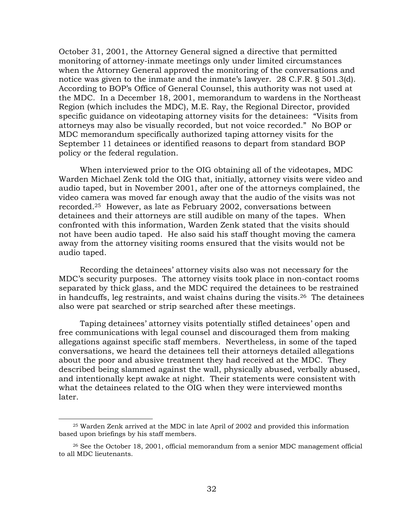October 31, 2001, the Attorney General signed a directive that permitted monitoring of attorney-inmate meetings only under limited circumstances when the Attorney General approved the monitoring of the conversations and notice was given to the inmate and the inmate's lawyer. 28 C.F.R. § 501.3(d). According to BOP's Office of General Counsel, this authority was not used at the MDC. In a December 18, 2001, memorandum to wardens in the Northeast Region (which includes the MDC), M.E. Ray, the Regional Director, provided specific guidance on videotaping attorney visits for the detainees: "Visits from attorneys may also be visually recorded, but not voice recorded."No BOP or MDC memorandum specifically authorized taping attorney visits for the September 11 detainees or identified reasons to depart from standard BOP policy or the federal regulation.

When interviewed prior to the OIG obtaining all of the videotapes, MDC Warden Michael Zenk told the OIG that, initially, attorney visits were video and audio taped, but in November 2001, after one of the attorneys complained, the video camera was moved far enough away that the audio of the visits was not recorded.[25](#page-33-0)However, as late as February 2002, conversations between detainees and their attorneys are still audible on many of the tapes. When confronted with this information, Warden Zenk stated that the visits should not have been audio taped. He also said his staff thought moving the camera away from the attorney visiting rooms ensured that the visits would not be audio taped.

Recording the detainees' attorney visits also was not necessary for the MDC's security purposes. The attorney visits took place in non-contact rooms separated by thick glass, and the MDC required the detainees to be restrained in handcuffs, leg restraints, and waist chains during the visits.<sup>26</sup> The detainees also were pat searched or strip searched after these meetings.

Taping detainees' attorney visits potentially stifled detainees' open and free communications with legal counsel and discouraged them from making allegations against specific staff members. Nevertheless, in some of the taped conversations, we heard the detainees tell their attorneys detailed allegations about the poor and abusive treatment they had received at the MDC. They described being slammed against the wall, physically abused, verbally abused, and intentionally kept awake at night. Their statements were consistent with what the detainees related to the OIG when they were interviewed months later.

<span id="page-33-0"></span><sup>25</sup> Warden Zenk arrived at the MDC in late April of 2002 and provided this information based upon briefings by his staff members.

<span id="page-33-1"></span><sup>26</sup> See the October 18, 2001, official memorandum from a senior MDC management official to all MDC lieutenants.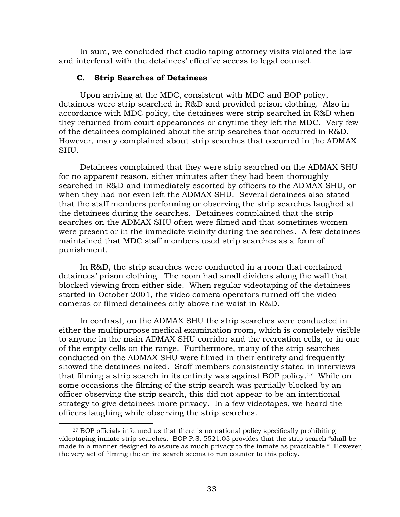<span id="page-34-0"></span>In sum, we concluded that audio taping attorney visits violated the law and interfered with the detainees' effective access to legal counsel.

#### **C. Strip Searches of Detainees**

 $\overline{a}$ 

Upon arriving at the MDC, consistent with MDC and BOP policy, detainees were strip searched in R&D and provided prison clothing. Also in accordance with MDC policy, the detainees were strip searched in R&D when they returned from court appearances or anytime they left the MDC. Very few of the detainees complained about the strip searches that occurred in R&D. However, many complained about strip searches that occurred in the ADMAX SHU.

Detainees complained that they were strip searched on the ADMAX SHU for no apparent reason, either minutes after they had been thoroughly searched in R&D and immediately escorted by officers to the ADMAX SHU, or when they had not even left the ADMAX SHU. Several detainees also stated that the staff members performing or observing the strip searches laughed at the detainees during the searches. Detainees complained that the strip searches on the ADMAX SHU often were filmed and that sometimes women were present or in the immediate vicinity during the searches. A few detainees maintained that MDC staff members used strip searches as a form of punishment.

In R&D, the strip searches were conducted in a room that contained detainees' prison clothing. The room had small dividers along the wall that blocked viewing from either side. When regular videotaping of the detainees started in October 2001, the video camera operators turned off the video cameras or filmed detainees only above the waist in R&D.

In contrast, on the ADMAX SHU the strip searches were conducted in either the multipurpose medical examination room, which is completely visible to anyone in the main ADMAX SHU corridor and the recreation cells, or in one of the empty cells on the range. Furthermore, many of the strip searches conducted on the ADMAX SHU were filmed in their entirety and frequently showed the detainees naked. Staff members consistently stated in interviews that filming a strip search in its entirety was against BOP policy.[27](#page-34-1) While on some occasions the filming of the strip search was partially blocked by an officer observing the strip search, this did not appear to be an intentional strategy to give detainees more privacy. In a few videotapes, we heard the officers laughing while observing the strip searches.

<span id="page-34-1"></span><sup>&</sup>lt;sup>27</sup> BOP officials informed us that there is no national policy specifically prohibiting videotaping inmate strip searches. BOP P.S. 5521.05 provides that the strip search "shall be made in a manner designed to assure as much privacy to the inmate as practicable." However, the very act of filming the entire search seems to run counter to this policy.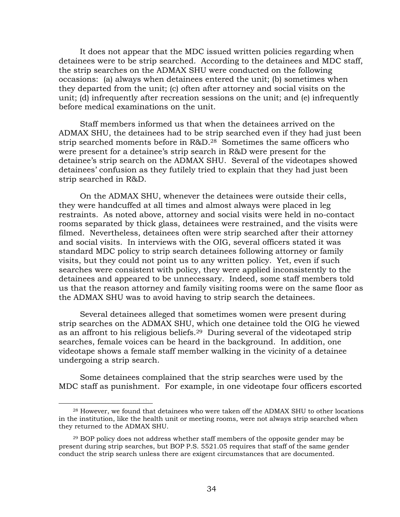It does not appear that the MDC issued written policies regarding when detainees were to be strip searched. According to the detainees and MDC staff, the strip searches on the ADMAX SHU were conducted on the following occasions: (a) always when detainees entered the unit; (b) sometimes when they departed from the unit; (c) often after attorney and social visits on the unit; (d) infrequently after recreation sessions on the unit; and (e) infrequently before medical examinations on the unit.

Staff members informed us that when the detainees arrived on the ADMAX SHU, the detainees had to be strip searched even if they had just been strip searched moments before in R&D.[28](#page-35-0) Sometimes the same officers who were present for a detainee's strip search in R&D were present for the detainee's strip search on the ADMAX SHU. Several of the videotapes showed detainees' confusion as they futilely tried to explain that they had just been strip searched in R&D.

On the ADMAX SHU, whenever the detainees were outside their cells, they were handcuffed at all times and almost always were placed in leg restraints. As noted above, attorney and social visits were held in no-contact rooms separated by thick glass, detainees were restrained, and the visits were filmed. Nevertheless, detainees often were strip searched after their attorney and social visits. In interviews with the OIG, several officers stated it was standard MDC policy to strip search detainees following attorney or family visits, but they could not point us to any written policy. Yet, even if such searches were consistent with policy, they were applied inconsistently to the detainees and appeared to be unnecessary. Indeed, some staff members told us that the reason attorney and family visiting rooms were on the same floor as the ADMAX SHU was to avoid having to strip search the detainees.

Several detainees alleged that sometimes women were present during strip searches on the ADMAX SHU, which one detainee told the OIG he viewed as an affront to his religious beliefs[.29](#page-35-1) During several of the videotaped strip searches, female voices can be heard in the background. In addition, one videotape shows a female staff member walking in the vicinity of a detainee undergoing a strip search.

Some detainees complained that the strip searches were used by the MDC staff as punishment. For example, in one videotape four officers escorted

<span id="page-35-0"></span><sup>28</sup> However, we found that detainees who were taken off the ADMAX SHU to other locations in the institution, like the health unit or meeting rooms, were not always strip searched when they returned to the ADMAX SHU.

<span id="page-35-1"></span><sup>&</sup>lt;sup>29</sup> BOP policy does not address whether staff members of the opposite gender may be present during strip searches, but BOP P.S. 5521.05 requires that staff of the same gender conduct the strip search unless there are exigent circumstances that are documented.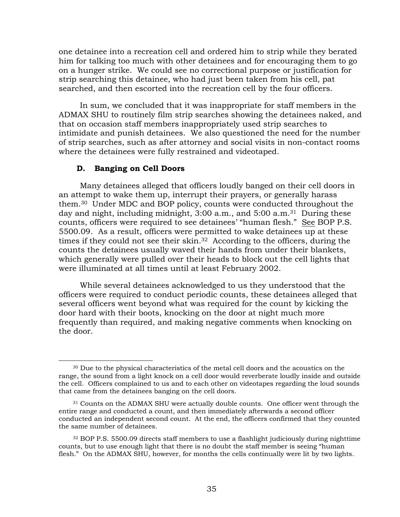<span id="page-36-0"></span>one detainee into a recreation cell and ordered him to strip while they berated him for talking too much with other detainees and for encouraging them to go on a hunger strike. We could see no correctional purpose or justification for strip searching this detainee, who had just been taken from his cell, pat searched, and then escorted into the recreation cell by the four officers.

In sum, we concluded that it was inappropriate for staff members in the ADMAX SHU to routinely film strip searches showing the detainees naked, and that on occasion staff members inappropriately used strip searches to intimidate and punish detainees. We also questioned the need for the number of strip searches, such as after attorney and social visits in non-contact rooms where the detainees were fully restrained and videotaped.

#### **D. Banging on Cell Doors**

 $\overline{a}$ 

Many detainees alleged that officers loudly banged on their cell doors in an attempt to wake them up, interrupt their prayers, or generally harass them.[30](#page-36-1) Under MDC and BOP policy, counts were conducted throughout the day and night, including midnight, 3:00 a.m., and 5:00 a.m.<sup>31</sup> During these counts, officers were required to see detainees' "human flesh." See BOP P.S. 5500.09.As a result, officers were permitted to wake detainees up at these times if they could not see their skin[.32](#page-36-3) According to the officers, during the counts the detainees usually waved their hands from under their blankets, which generally were pulled over their heads to block out the cell lights that were illuminated at all times until at least February 2002.

While several detainees acknowledged to us they understood that the officers were required to conduct periodic counts, these detainees alleged that several officers went beyond what was required for the count by kicking the door hard with their boots, knocking on the door at night much more frequently than required, and making negative comments when knocking on the door.

<span id="page-36-1"></span><sup>30</sup> Due to the physical characteristics of the metal cell doors and the acoustics on the range, the sound from a light knock on a cell door would reverberate loudly inside and outside the cell. Officers complained to us and to each other on videotapes regarding the loud sounds that came from the detainees banging on the cell doors.

<span id="page-36-2"></span><sup>31</sup> Counts on the ADMAX SHU were actually double counts. One officer went through the entire range and conducted a count, and then immediately afterwards a second officer conducted an independent second count. At the end, the officers confirmed that they counted the same number of detainees.

<span id="page-36-3"></span><sup>32</sup> BOP P.S. 5500.09 directs staff members to use a flashlight judiciously during nighttime counts, but to use enough light that there is no doubt the staff member is seeing "human flesh." On the ADMAX SHU, however, for months the cells continually were lit by two lights.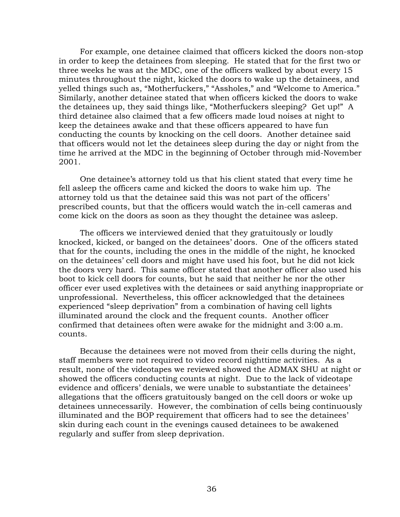For example, one detainee claimed that officers kicked the doors non-stop in order to keep the detainees from sleeping. He stated that for the first two or three weeks he was at the MDC, one of the officers walked by about every 15 minutes throughout the night, kicked the doors to wake up the detainees, and yelled things such as, "Motherfuckers," "Assholes," and "Welcome to America." Similarly, another detainee stated that when officers kicked the doors to wake the detainees up, they said things like, "Motherfuckers sleeping? Get up!" A third detainee also claimed that a few officers made loud noises at night to keep the detainees awake and that these officers appeared to have fun conducting the counts by knocking on the cell doors. Another detainee said that officers would not let the detainees sleep during the day or night from the time he arrived at the MDC in the beginning of October through mid-November 2001.

One detainee's attorney told us that his client stated that every time he fell asleep the officers came and kicked the doors to wake him up. The attorney told us that the detainee said this was not part of the officers' prescribed counts, but that the officers would watch the in-cell cameras and come kick on the doors as soon as they thought the detainee was asleep.

The officers we interviewed denied that they gratuitously or loudly knocked, kicked, or banged on the detainees' doors. One of the officers stated that for the counts, including the ones in the middle of the night, he knocked on the detainees' cell doors and might have used his foot, but he did not kick the doors very hard. This same officer stated that another officer also used his boot to kick cell doors for counts, but he said that neither he nor the other officer ever used expletives with the detainees or said anything inappropriate or unprofessional. Nevertheless, this officer acknowledged that the detainees experienced "sleep deprivation" from a combination of having cell lights illuminated around the clock and the frequent counts. Another officer confirmed that detainees often were awake for the midnight and 3:00 a.m. counts.

Because the detainees were not moved from their cells during the night, staff members were not required to video record nighttime activities. As a result, none of the videotapes we reviewed showed the ADMAX SHU at night or showed the officers conducting counts at night. Due to the lack of videotape evidence and officers' denials, we were unable to substantiate the detainees' allegations that the officers gratuitously banged on the cell doors or woke up detainees unnecessarily. However, the combination of cells being continuously illuminated and the BOP requirement that officers had to see the detainees' skin during each count in the evenings caused detainees to be awakened regularly and suffer from sleep deprivation.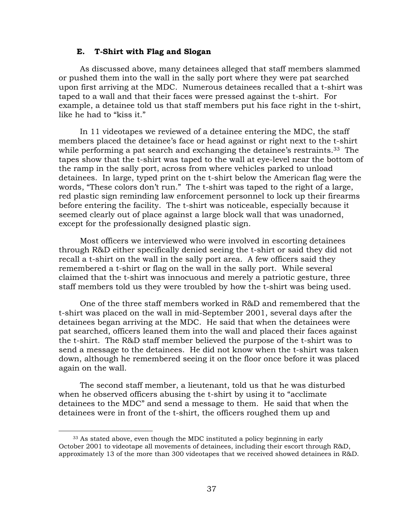#### **E. T-Shirt with Flag and Slogan**

<span id="page-38-0"></span>As discussed above, many detainees alleged that staff members slammed or pushed them into the wall in the sally port where they were pat searched upon first arriving at the MDC. Numerous detainees recalled that a t-shirt was taped to a wall and that their faces were pressed against the t-shirt. For example, a detainee told us that staff members put his face right in the t-shirt, like he had to "kiss it."

In 11 videotapes we reviewed of a detainee entering the MDC, the staff members placed the detainee's face or head against or right next to the t-shirt while performing a pat search and exchanging the detainee's restraints.<sup>33</sup> The tapes show that the t-shirt was taped to the wall at eye-level near the bottom of the ramp in the sally port, across from where vehicles parked to unload detainees. In large, typed print on the t-shirt below the American flag were the words, "These colors don't run." The t-shirt was taped to the right of a large, red plastic sign reminding law enforcement personnel to lock up their firearms before entering the facility. The t-shirt was noticeable, especially because it seemed clearly out of place against a large block wall that was unadorned, except for the professionally designed plastic sign.

Most officers we interviewed who were involved in escorting detainees through R&D either specifically denied seeing the t-shirt or said they did not recall a t-shirt on the wall in the sally port area. A few officers said they remembered a t-shirt or flag on the wall in the sally port. While several claimed that the t-shirt was innocuous and merely a patriotic gesture, three staff members told us they were troubled by how the t-shirt was being used.

One of the three staff members worked in R&D and remembered that the t-shirt was placed on the wall in mid-September 2001, several days after the detainees began arriving at the MDC. He said that when the detainees were pat searched, officers leaned them into the wall and placed their faces against the t-shirt. The R&D staff member believed the purpose of the t-shirt was to send a message to the detainees. He did not know when the t-shirt was taken down, although he remembered seeing it on the floor once before it was placed again on the wall.

The second staff member, a lieutenant, told us that he was disturbed when he observed officers abusing the t-shirt by using it to "acclimate detainees to the MDC" and send a message to them. He said that when the detainees were in front of the t-shirt, the officers roughed them up and

<span id="page-38-1"></span><sup>33</sup> As stated above, even though the MDC instituted a policy beginning in early October 2001 to videotape all movements of detainees, including their escort through R&D, approximately 13 of the more than 300 videotapes that we received showed detainees in R&D.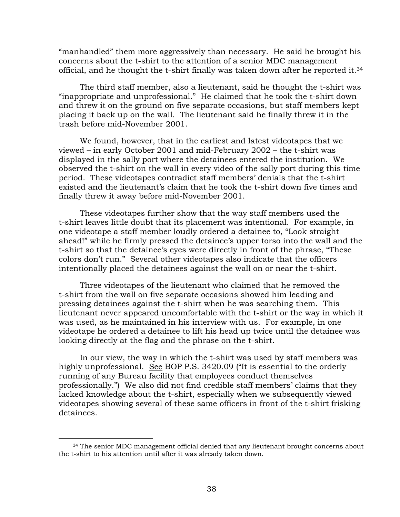"manhandled" them more aggressively than necessary. He said he brought his concerns about the t-shirt to the attention of a senior MDC management official, and he thought the t-shirt finally was taken down after he reported it[.34](#page-39-0) 

The third staff member, also a lieutenant, said he thought the t-shirt was "inappropriate and unprofessional." He claimed that he took the t-shirt down and threw it on the ground on five separate occasions, but staff members kept placing it back up on the wall. The lieutenant said he finally threw it in the trash before mid-November 2001.

We found, however, that in the earliest and latest videotapes that we viewed – in early October 2001 and mid-February 2002 – the t-shirt was displayed in the sally port where the detainees entered the institution. We observed the t-shirt on the wall in every video of the sally port during this time period. These videotapes contradict staff members' denials that the t-shirt existed and the lieutenant's claim that he took the t-shirt down five times and finally threw it away before mid-November 2001.

These videotapes further show that the way staff members used the t-shirt leaves little doubt that its placement was intentional. For example, in one videotape a staff member loudly ordered a detainee to, "Look straight ahead!" while he firmly pressed the detainee's upper torso into the wall and the t-shirt so that the detainee's eyes were directly in front of the phrase, "These colors don't run." Several other videotapes also indicate that the officers intentionally placed the detainees against the wall on or near the t-shirt.

Three videotapes of the lieutenant who claimed that he removed the t-shirt from the wall on five separate occasions showed him leading and pressing detainees against the t-shirt when he was searching them. This lieutenant never appeared uncomfortable with the t-shirt or the way in which it was used, as he maintained in his interview with us. For example, in one videotape he ordered a detainee to lift his head up twice until the detainee was looking directly at the flag and the phrase on the t-shirt.

In our view, the way in which the t-shirt was used by staff members was highly unprofessional. See BOP P.S. 3420.09 ("It is essential to the orderly running of any Bureau facility that employees conduct themselves professionally.") We also did not find credible staff members' claims that they lacked knowledge about the t-shirt, especially when we subsequently viewed videotapes showing several of these same officers in front of the t-shirt frisking detainees.

<span id="page-39-0"></span><sup>&</sup>lt;sup>34</sup> The senior MDC management official denied that any lieutenant brought concerns about the t-shirt to his attention until after it was already taken down.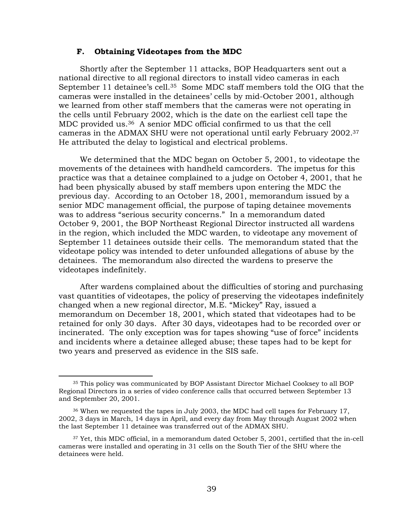#### **F. Obtaining Videotapes from the MDC**

<span id="page-40-0"></span>Shortly after the September 11 attacks, BOP Headquarters sent out a national directive to all regional directors to install video cameras in each September 11 detainee's cell.<sup>35</sup> Some MDC staff members told the OIG that the cameras were installed in the detainees' cells by mid-October 2001, although we learned from other staff members that the cameras were not operating in the cells until February 2002, which is the date on the earliest cell tape the MDC provided us.[36](#page-40-2) A senior MDC official confirmed to us that the cell cameras in the ADMAX SHU were not operational until early February 2002[.37](#page-40-3)  He attributed the delay to logistical and electrical problems.

We determined that the MDC began on October 5, 2001, to videotape the movements of the detainees with handheld camcorders. The impetus for this practice was that a detainee complained to a judge on October 4, 2001, that he had been physically abused by staff members upon entering the MDC the previous day. According to an October 18, 2001, memorandum issued by a senior MDC management official, the purpose of taping detainee movements was to address "serious security concerns." In a memorandum dated October 9, 2001, the BOP Northeast Regional Director instructed all wardens in the region, which included the MDC warden, to videotape any movement of September 11 detainees outside their cells. The memorandum stated that the videotape policy was intended to deter unfounded allegations of abuse by the detainees. The memorandum also directed the wardens to preserve the videotapes indefinitely.

After wardens complained about the difficulties of storing and purchasing vast quantities of videotapes, the policy of preserving the videotapes indefinitely changed when a new regional director, M.E. "Mickey" Ray, issued a memorandum on December 18, 2001, which stated that videotapes had to be retained for only 30 days. After 30 days, videotapes had to be recorded over or incinerated. The only exception was for tapes showing "use of force" incidents and incidents where a detainee alleged abuse; these tapes had to be kept for two years and preserved as evidence in the SIS safe.

<span id="page-40-1"></span><sup>35</sup> This policy was communicated by BOP Assistant Director Michael Cooksey to all BOP Regional Directors in a series of video conference calls that occurred between September 13 and September 20, 2001.

<span id="page-40-2"></span><sup>36</sup> When we requested the tapes in July 2003, the MDC had cell tapes for February 17, 2002, 3 days in March, 14 days in April, and every day from May through August 2002 when the last September 11 detainee was transferred out of the ADMAX SHU.

<span id="page-40-3"></span><sup>37</sup> Yet, this MDC official, in a memorandum dated October 5, 2001, certified that the in-cell cameras were installed and operating in 31 cells on the South Tier of the SHU where the detainees were held.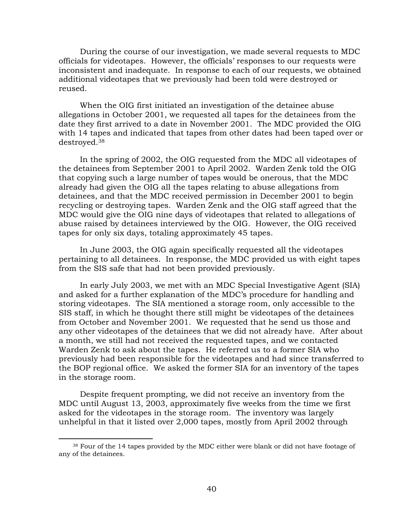During the course of our investigation, we made several requests to MDC officials for videotapes. However, the officials' responses to our requests were inconsistent and inadequate. In response to each of our requests, we obtained additional videotapes that we previously had been told were destroyed or reused.

When the OIG first initiated an investigation of the detainee abuse allegations in October 2001, we requested all tapes for the detainees from the date they first arrived to a date in November 2001. The MDC provided the OIG with 14 tapes and indicated that tapes from other dates had been taped over or destroyed.[38](#page-41-0) 

In the spring of 2002, the OIG requested from the MDC all videotapes of the detainees from September 2001 to April 2002. Warden Zenk told the OIG that copying such a large number of tapes would be onerous, that the MDC already had given the OIG all the tapes relating to abuse allegations from detainees, and that the MDC received permission in December 2001 to begin recycling or destroying tapes. Warden Zenk and the OIG staff agreed that the MDC would give the OIG nine days of videotapes that related to allegations of abuse raised by detainees interviewed by the OIG. However, the OIG received tapes for only six days, totaling approximately 45 tapes.

In June 2003, the OIG again specifically requested all the videotapes pertaining to all detainees. In response, the MDC provided us with eight tapes from the SIS safe that had not been provided previously.

In early July 2003, we met with an MDC Special Investigative Agent (SIA) and asked for a further explanation of the MDC's procedure for handling and storing videotapes. The SIA mentioned a storage room, only accessible to the SIS staff, in which he thought there still might be videotapes of the detainees from October and November 2001. We requested that he send us those and any other videotapes of the detainees that we did not already have. After about a month, we still had not received the requested tapes, and we contacted Warden Zenk to ask about the tapes. He referred us to a former SIA who previously had been responsible for the videotapes and had since transferred to the BOP regional office. We asked the former SIA for an inventory of the tapes in the storage room.

Despite frequent prompting, we did not receive an inventory from the MDC until August 13, 2003, approximately five weeks from the time we first asked for the videotapes in the storage room. The inventory was largely unhelpful in that it listed over 2,000 tapes, mostly from April 2002 through

<span id="page-41-0"></span><sup>38</sup> Four of the 14 tapes provided by the MDC either were blank or did not have footage of any of the detainees.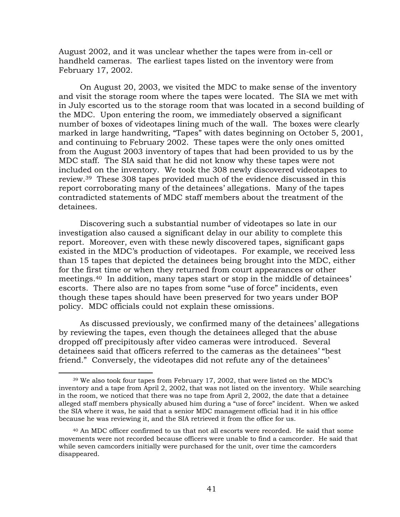August 2002, and it was unclear whether the tapes were from in-cell or handheld cameras. The earliest tapes listed on the inventory were from February 17, 2002.

On August 20, 2003, we visited the MDC to make sense of the inventory and visit the storage room where the tapes were located. The SIA we met with in July escorted us to the storage room that was located in a second building of the MDC. Upon entering the room, we immediately observed a significant number of boxes of videotapes lining much of the wall. The boxes were clearly marked in large handwriting, "Tapes" with dates beginning on October 5, 2001, and continuing to February 2002. These tapes were the only ones omitted from the August 2003 inventory of tapes that had been provided to us by the MDC staff. The SIA said that he did not know why these tapes were not included on the inventory. We took the 308 newly discovered videotapes to review.[39](#page-42-0) These 308 tapes provided much of the evidence discussed in this report corroborating many of the detainees' allegations. Many of the tapes contradicted statements of MDC staff members about the treatment of the detainees.

Discovering such a substantial number of videotapes so late in our investigation also caused a significant delay in our ability to complete this report. Moreover, even with these newly discovered tapes, significant gaps existed in the MDC's production of videotapes. For example, we received less than 15 tapes that depicted the detainees being brought into the MDC, either for the first time or when they returned from court appearances or other meetings[.40](#page-42-1) In addition, many tapes start or stop in the middle of detainees' escorts. There also are no tapes from some "use of force" incidents, even though these tapes should have been preserved for two years under BOP policy. MDC officials could not explain these omissions.

As discussed previously, we confirmed many of the detainees' allegations by reviewing the tapes, even though the detainees alleged that the abuse dropped off precipitously after video cameras were introduced. Several detainees said that officers referred to the cameras as the detainees' "best friend." Conversely, the videotapes did not refute any of the detainees'

<span id="page-42-0"></span><sup>39</sup> We also took four tapes from February 17, 2002, that were listed on the MDC's inventory and a tape from April 2, 2002, that was not listed on the inventory. While searching in the room, we noticed that there was no tape from April 2, 2002, the date that a detainee alleged staff members physically abused him during a "use of force" incident. When we asked the SIA where it was, he said that a senior MDC management official had it in his office because he was reviewing it, and the SIA retrieved it from the office for us.

<span id="page-42-1"></span><sup>40</sup> An MDC officer confirmed to us that not all escorts were recorded. He said that some movements were not recorded because officers were unable to find a camcorder. He said that while seven camcorders initially were purchased for the unit, over time the camcorders disappeared.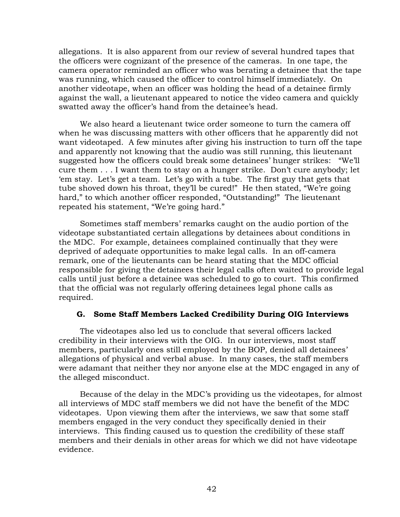<span id="page-43-0"></span>allegations. It is also apparent from our review of several hundred tapes that the officers were cognizant of the presence of the cameras. In one tape, the camera operator reminded an officer who was berating a detainee that the tape was running, which caused the officer to control himself immediately. On another videotape, when an officer was holding the head of a detainee firmly against the wall, a lieutenant appeared to notice the video camera and quickly swatted away the officer's hand from the detainee's head.

We also heard a lieutenant twice order someone to turn the camera off when he was discussing matters with other officers that he apparently did not want videotaped. A few minutes after giving his instruction to turn off the tape and apparently not knowing that the audio was still running, this lieutenant suggested how the officers could break some detainees' hunger strikes: "We'll cure them . . . I want them to stay on a hunger strike. Don't cure anybody; let 'em stay. Let's get a team. Let's go with a tube. The first guy that gets that tube shoved down his throat, they'll be cured!" He then stated, "We're going hard," to which another officer responded, "Outstanding!" The lieutenant repeated his statement, "We're going hard."

Sometimes staff members' remarks caught on the audio portion of the videotape substantiated certain allegations by detainees about conditions in the MDC. For example, detainees complained continually that they were deprived of adequate opportunities to make legal calls. In an off-camera remark, one of the lieutenants can be heard stating that the MDC official responsible for giving the detainees their legal calls often waited to provide legal calls until just before a detainee was scheduled to go to court. This confirmed that the official was not regularly offering detainees legal phone calls as required.

## **G. Some Staff Members Lacked Credibility During OIG Interviews**

The videotapes also led us to conclude that several officers lacked credibility in their interviews with the OIG. In our interviews, most staff members, particularly ones still employed by the BOP, denied all detainees' allegations of physical and verbal abuse. In many cases, the staff members were adamant that neither they nor anyone else at the MDC engaged in any of the alleged misconduct.

Because of the delay in the MDC's providing us the videotapes, for almost all interviews of MDC staff members we did not have the benefit of the MDC videotapes. Upon viewing them after the interviews, we saw that some staff members engaged in the very conduct they specifically denied in their interviews. This finding caused us to question the credibility of these staff members and their denials in other areas for which we did not have videotape evidence.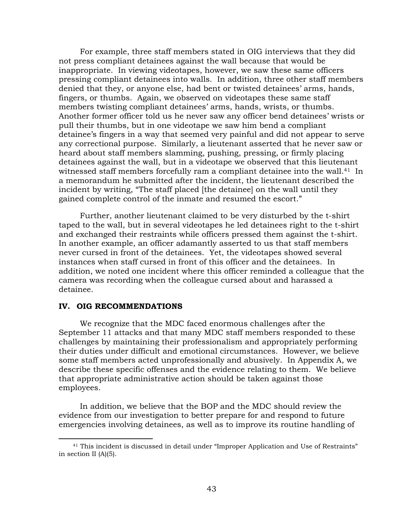<span id="page-44-0"></span>For example, three staff members stated in OIG interviews that they did not press compliant detainees against the wall because that would be inappropriate. In viewing videotapes, however, we saw these same officers pressing compliant detainees into walls. In addition, three other staff members denied that they, or anyone else, had bent or twisted detainees' arms, hands, fingers, or thumbs. Again, we observed on videotapes these same staff members twisting compliant detainees' arms, hands, wrists, or thumbs. Another former officer told us he never saw any officer bend detainees' wrists or pull their thumbs, but in one videotape we saw him bend a compliant detainee's fingers in a way that seemed very painful and did not appear to serve any correctional purpose. Similarly, a lieutenant asserted that he never saw or heard about staff members slamming, pushing, pressing, or firmly placing detainees against the wall, but in a videotape we observed that this lieutenant witnessed staff members forcefully ram a compliant detainee into the wall.<sup>41</sup> In a memorandum he submitted after the incident, the lieutenant described the incident by writing, "The staff placed [the detainee] on the wall until they gained complete control of the inmate and resumed the escort."

Further, another lieutenant claimed to be very disturbed by the t-shirt taped to the wall, but in several videotapes he led detainees right to the t-shirt and exchanged their restraints while officers pressed them against the t-shirt. In another example, an officer adamantly asserted to us that staff members never cursed in front of the detainees. Yet, the videotapes showed several instances when staff cursed in front of this officer and the detainees. In addition, we noted one incident where this officer reminded a colleague that the camera was recording when the colleague cursed about and harassed a detainee.

### **IV. OIG RECOMMENDATIONS**

 $\overline{a}$ 

We recognize that the MDC faced enormous challenges after the September 11 attacks and that many MDC staff members responded to these challenges by maintaining their professionalism and appropriately performing their duties under difficult and emotional circumstances. However, we believe some staff members acted unprofessionally and abusively. In Appendix A, we describe these specific offenses and the evidence relating to them. We believe that appropriate administrative action should be taken against those employees.

In addition, we believe that the BOP and the MDC should review the evidence from our investigation to better prepare for and respond to future emergencies involving detainees, as well as to improve its routine handling of

<span id="page-44-1"></span><sup>41</sup> This incident is discussed in detail under "Improper Application and Use of Restraints" in section II (A)(5).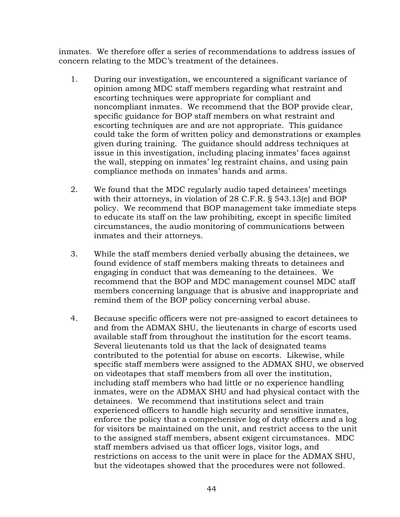inmates. We therefore offer a series of recommendations to address issues of concern relating to the MDC's treatment of the detainees.

- 1. During our investigation, we encountered a significant variance of opinion among MDC staff members regarding what restraint and escorting techniques were appropriate for compliant and noncompliant inmates. We recommend that the BOP provide clear, specific guidance for BOP staff members on what restraint and escorting techniques are and are not appropriate. This guidance could take the form of written policy and demonstrations or examples given during training. The guidance should address techniques at issue in this investigation, including placing inmates' faces against the wall, stepping on inmates' leg restraint chains, and using pain compliance methods on inmates' hands and arms.
- 2. We found that the MDC regularly audio taped detainees' meetings with their attorneys, in violation of 28 C.F.R. § 543.13(e) and BOP policy. We recommend that BOP management take immediate steps to educate its staff on the law prohibiting, except in specific limited circumstances, the audio monitoring of communications between inmates and their attorneys.
- 3. While the staff members denied verbally abusing the detainees, we found evidence of staff members making threats to detainees and engaging in conduct that was demeaning to the detainees. We recommend that the BOP and MDC management counsel MDC staff members concerning language that is abusive and inappropriate and remind them of the BOP policy concerning verbal abuse.
- 4. Because specific officers were not pre-assigned to escort detainees to and from the ADMAX SHU, the lieutenants in charge of escorts used available staff from throughout the institution for the escort teams. Several lieutenants told us that the lack of designated teams contributed to the potential for abuse on escorts. Likewise, while specific staff members were assigned to the ADMAX SHU, we observed on videotapes that staff members from all over the institution, including staff members who had little or no experience handling inmates, were on the ADMAX SHU and had physical contact with the detainees. We recommend that institutions select and train experienced officers to handle high security and sensitive inmates, enforce the policy that a comprehensive log of duty officers and a log for visitors be maintained on the unit, and restrict access to the unit to the assigned staff members, absent exigent circumstances. MDC staff members advised us that officer logs, visitor logs, and restrictions on access to the unit were in place for the ADMAX SHU, but the videotapes showed that the procedures were not followed.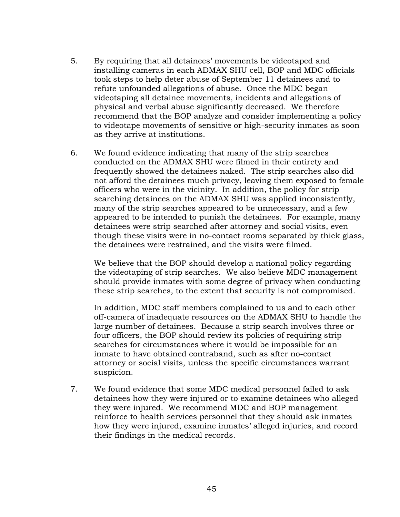- 5. By requiring that all detainees' movements be videotaped and installing cameras in each ADMAX SHU cell, BOP and MDC officials took steps to help deter abuse of September 11 detainees and to refute unfounded allegations of abuse. Once the MDC began videotaping all detainee movements, incidents and allegations of physical and verbal abuse significantly decreased. We therefore recommend that the BOP analyze and consider implementing a policy to videotape movements of sensitive or high-security inmates as soon as they arrive at institutions.
- 6. We found evidence indicating that many of the strip searches conducted on the ADMAX SHU were filmed in their entirety and frequently showed the detainees naked. The strip searches also did not afford the detainees much privacy, leaving them exposed to female officers who were in the vicinity. In addition, the policy for strip searching detainees on the ADMAX SHU was applied inconsistently, many of the strip searches appeared to be unnecessary, and a few appeared to be intended to punish the detainees. For example, many detainees were strip searched after attorney and social visits, even though these visits were in no-contact rooms separated by thick glass, the detainees were restrained, and the visits were filmed.

We believe that the BOP should develop a national policy regarding the videotaping of strip searches. We also believe MDC management should provide inmates with some degree of privacy when conducting these strip searches, to the extent that security is not compromised.

In addition, MDC staff members complained to us and to each other off-camera of inadequate resources on the ADMAX SHU to handle the large number of detainees. Because a strip search involves three or four officers, the BOP should review its policies of requiring strip searches for circumstances where it would be impossible for an inmate to have obtained contraband, such as after no-contact attorney or social visits, unless the specific circumstances warrant suspicion.

7. We found evidence that some MDC medical personnel failed to ask detainees how they were injured or to examine detainees who alleged they were injured. We recommend MDC and BOP management reinforce to health services personnel that they should ask inmates how they were injured, examine inmates' alleged injuries, and record their findings in the medical records.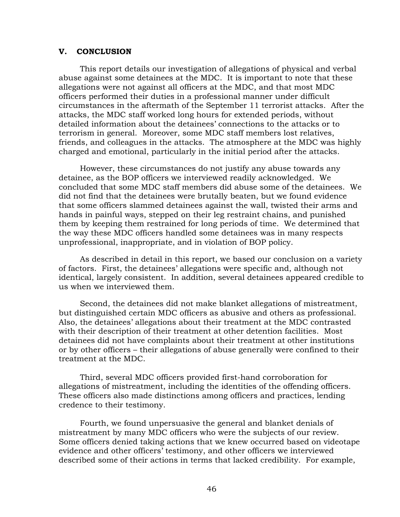## <span id="page-47-0"></span>**V. CONCLUSION**

This report details our investigation of allegations of physical and verbal abuse against some detainees at the MDC. It is important to note that these allegations were not against all officers at the MDC, and that most MDC officers performed their duties in a professional manner under difficult circumstances in the aftermath of the September 11 terrorist attacks. After the attacks, the MDC staff worked long hours for extended periods, without detailed information about the detainees' connections to the attacks or to terrorism in general. Moreover, some MDC staff members lost relatives, friends, and colleagues in the attacks. The atmosphere at the MDC was highly charged and emotional, particularly in the initial period after the attacks.

However, these circumstances do not justify any abuse towards any detainee, as the BOP officers we interviewed readily acknowledged. We concluded that some MDC staff members did abuse some of the detainees. We did not find that the detainees were brutally beaten, but we found evidence that some officers slammed detainees against the wall, twisted their arms and hands in painful ways, stepped on their leg restraint chains, and punished them by keeping them restrained for long periods of time. We determined that the way these MDC officers handled some detainees was in many respects unprofessional, inappropriate, and in violation of BOP policy.

As described in detail in this report, we based our conclusion on a variety of factors. First, the detainees' allegations were specific and, although not identical, largely consistent. In addition, several detainees appeared credible to us when we interviewed them.

Second, the detainees did not make blanket allegations of mistreatment, but distinguished certain MDC officers as abusive and others as professional. Also, the detainees' allegations about their treatment at the MDC contrasted with their description of their treatment at other detention facilities. Most detainees did not have complaints about their treatment at other institutions or by other officers – their allegations of abuse generally were confined to their treatment at the MDC.

Third, several MDC officers provided first-hand corroboration for allegations of mistreatment, including the identities of the offending officers. These officers also made distinctions among officers and practices, lending credence to their testimony.

Fourth, we found unpersuasive the general and blanket denials of mistreatment by many MDC officers who were the subjects of our review. Some officers denied taking actions that we knew occurred based on videotape evidence and other officers' testimony, and other officers we interviewed described some of their actions in terms that lacked credibility. For example,